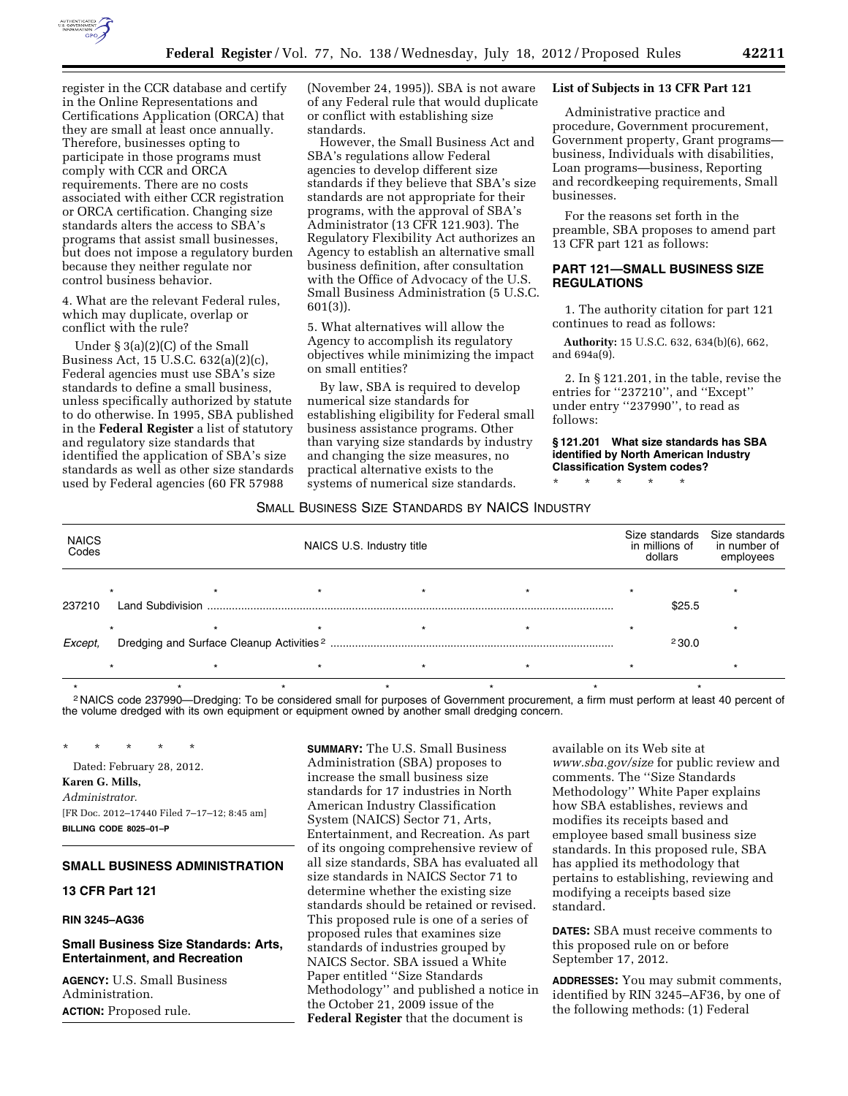

register in the CCR database and certify in the Online Representations and Certifications Application (ORCA) that they are small at least once annually. Therefore, businesses opting to participate in those programs must comply with CCR and ORCA requirements. There are no costs associated with either CCR registration or ORCA certification. Changing size standards alters the access to SBA's programs that assist small businesses, but does not impose a regulatory burden because they neither regulate nor control business behavior.

4. What are the relevant Federal rules, which may duplicate, overlap or conflict with the rule?

Under § 3(a)(2)(C) of the Small Business Act, 15 U.S.C. 632(a)(2)(c), Federal agencies must use SBA's size standards to define a small business, unless specifically authorized by statute to do otherwise. In 1995, SBA published in the **Federal Register** a list of statutory and regulatory size standards that identified the application of SBA's size standards as well as other size standards used by Federal agencies (60 FR 57988

(November 24, 1995)). SBA is not aware of any Federal rule that would duplicate or conflict with establishing size standards.

However, the Small Business Act and SBA's regulations allow Federal agencies to develop different size standards if they believe that SBA's size standards are not appropriate for their programs, with the approval of SBA's Administrator (13 CFR 121.903). The Regulatory Flexibility Act authorizes an Agency to establish an alternative small business definition, after consultation with the Office of Advocacy of the U.S. Small Business Administration (5 U.S.C. 601(3)).

5. What alternatives will allow the Agency to accomplish its regulatory objectives while minimizing the impact on small entities?

By law, SBA is required to develop numerical size standards for establishing eligibility for Federal small business assistance programs. Other than varying size standards by industry and changing the size measures, no practical alternative exists to the systems of numerical size standards.

#### **List of Subjects in 13 CFR Part 121**

Administrative practice and procedure, Government procurement, Government property, Grant programs business, Individuals with disabilities, Loan programs—business, Reporting and recordkeeping requirements, Small businesses.

For the reasons set forth in the preamble, SBA proposes to amend part 13 CFR part 121 as follows:

## **PART 121—SMALL BUSINESS SIZE REGULATIONS**

1. The authority citation for part 121 continues to read as follows:

**Authority:** 15 U.S.C. 632, 634(b)(6), 662, and 694a(9).

2. In § 121.201, in the table, revise the entries for ''237210'', and ''Except'' under entry ''237990'', to read as follows:

### **§ 121.201 What size standards has SBA identified by North American Industry Classification System codes?**

\* \* \* \* \*

#### SMALL BUSINESS SIZE STANDARDS BY NAICS INDUSTRY

| <b>NAICS</b><br>Codes |                         |  | NAICS U.S. Industry title | Size standards<br>in millions of<br>dollars | Size standards<br>in number of<br>employees |
|-----------------------|-------------------------|--|---------------------------|---------------------------------------------|---------------------------------------------|
| 237210                | <b>Land Subdivision</b> |  |                           | \$25.5                                      |                                             |
| Except,               |                         |  |                           | 230.0                                       |                                             |
|                       |                         |  |                           |                                             |                                             |

\*\*\*\*\*\*\* 2 NAICS code 237990—Dredging: To be considered small for purposes of Government procurement, a firm must perform at least 40 percent of the volume dredged with its own equipment or equipment owned by another small dredging concern.

\* \* \* \* \* Dated: February 28, 2012. **Karen G. Mills,**  *Administrator.*  [FR Doc. 2012–17440 Filed 7–17–12; 8:45 am] **BILLING CODE 8025–01–P** 

# **SMALL BUSINESS ADMINISTRATION**

**13 CFR Part 121** 

**RIN 3245–AG36** 

# **Small Business Size Standards: Arts, Entertainment, and Recreation**

**AGENCY:** U.S. Small Business Administration. **ACTION:** Proposed rule.

**SUMMARY:** The U.S. Small Business Administration (SBA) proposes to increase the small business size standards for 17 industries in North American Industry Classification System (NAICS) Sector 71, Arts, Entertainment, and Recreation. As part of its ongoing comprehensive review of all size standards, SBA has evaluated all size standards in NAICS Sector 71 to determine whether the existing size standards should be retained or revised. This proposed rule is one of a series of proposed rules that examines size standards of industries grouped by NAICS Sector. SBA issued a White Paper entitled ''Size Standards Methodology'' and published a notice in the October 21, 2009 issue of the **Federal Register** that the document is

available on its Web site at *[www.sba.gov/size](http://www.sba.gov/size)* for public review and comments. The ''Size Standards Methodology'' White Paper explains how SBA establishes, reviews and modifies its receipts based and employee based small business size standards. In this proposed rule, SBA has applied its methodology that pertains to establishing, reviewing and modifying a receipts based size standard.

**DATES:** SBA must receive comments to this proposed rule on or before September 17, 2012.

**ADDRESSES:** You may submit comments, identified by RIN 3245–AF36, by one of the following methods: (1) Federal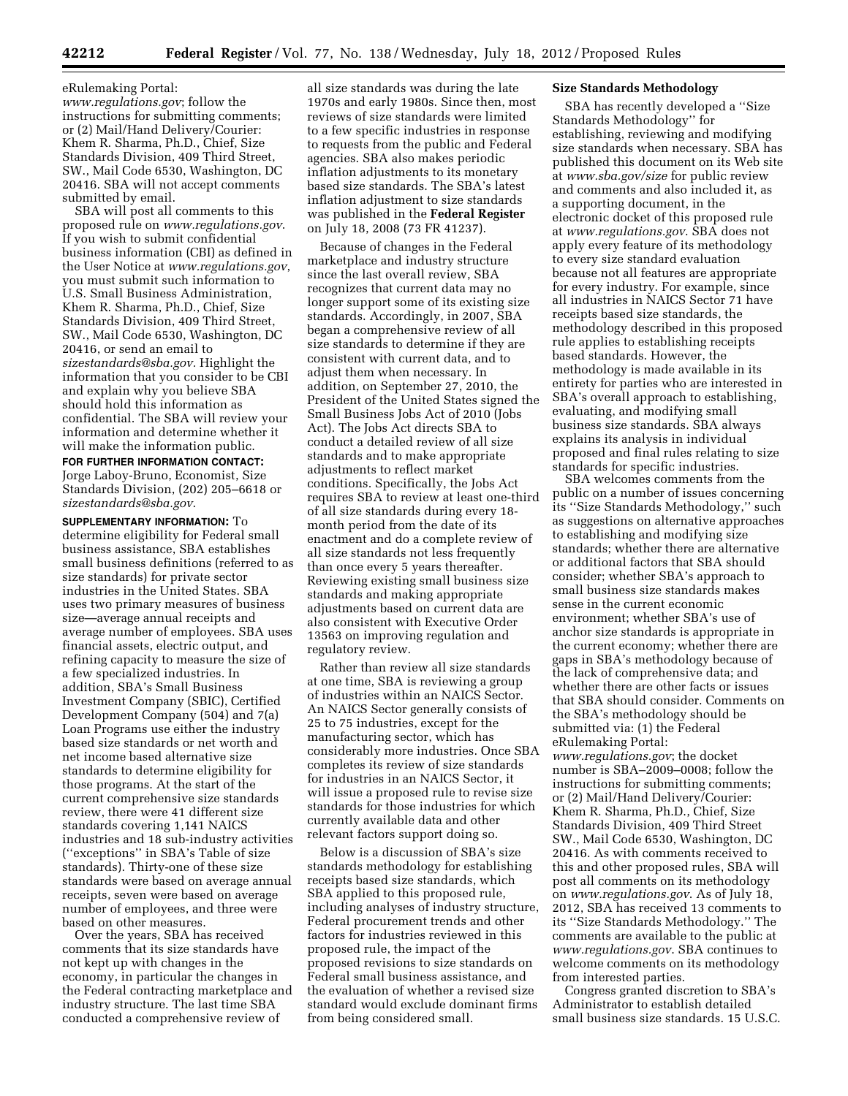eRulemaking Portal: *[www.regulations.gov](http://www.regulations.gov)*; follow the instructions for submitting comments; or (2) Mail/Hand Delivery/Courier: Khem R. Sharma, Ph.D., Chief, Size Standards Division, 409 Third Street, SW., Mail Code 6530, Washington, DC 20416. SBA will not accept comments submitted by email.

SBA will post all comments to this proposed rule on *[www.regulations.gov](http://www.regulations.gov)*. If you wish to submit confidential business information (CBI) as defined in the User Notice at *[www.regulations.gov](http://www.regulations.gov)*, you must submit such information to U.S. Small Business Administration, Khem R. Sharma, Ph.D., Chief, Size Standards Division, 409 Third Street, SW., Mail Code 6530, Washington, DC 20416, or send an email to *[sizestandards@sba.gov.](mailto:sizestandards@sba.gov)* Highlight the information that you consider to be CBI and explain why you believe SBA should hold this information as confidential. The SBA will review your information and determine whether it will make the information public.

**FOR FURTHER INFORMATION CONTACT:**  Jorge Laboy-Bruno, Economist, Size Standards Division, (202) 205–6618 or *[sizestandards@sba.gov](mailto:sizestandards@sba.gov)*.

**SUPPLEMENTARY INFORMATION:** To determine eligibility for Federal small business assistance, SBA establishes small business definitions (referred to as size standards) for private sector industries in the United States. SBA uses two primary measures of business size—average annual receipts and average number of employees. SBA uses financial assets, electric output, and refining capacity to measure the size of a few specialized industries. In addition, SBA's Small Business Investment Company (SBIC), Certified Development Company (504) and 7(a) Loan Programs use either the industry based size standards or net worth and net income based alternative size standards to determine eligibility for those programs. At the start of the current comprehensive size standards review, there were 41 different size standards covering 1,141 NAICS industries and 18 sub-industry activities (''exceptions'' in SBA's Table of size standards). Thirty-one of these size standards were based on average annual receipts, seven were based on average number of employees, and three were based on other measures.

Over the years, SBA has received comments that its size standards have not kept up with changes in the economy, in particular the changes in the Federal contracting marketplace and industry structure. The last time SBA conducted a comprehensive review of

all size standards was during the late 1970s and early 1980s. Since then, most reviews of size standards were limited to a few specific industries in response to requests from the public and Federal agencies. SBA also makes periodic inflation adjustments to its monetary based size standards. The SBA's latest inflation adjustment to size standards was published in the **Federal Register**  on July 18, 2008 (73 FR 41237).

Because of changes in the Federal marketplace and industry structure since the last overall review, SBA recognizes that current data may no longer support some of its existing size standards. Accordingly, in 2007, SBA began a comprehensive review of all size standards to determine if they are consistent with current data, and to adjust them when necessary. In addition, on September 27, 2010, the President of the United States signed the Small Business Jobs Act of 2010 (Jobs Act). The Jobs Act directs SBA to conduct a detailed review of all size standards and to make appropriate adjustments to reflect market conditions. Specifically, the Jobs Act requires SBA to review at least one-third of all size standards during every 18 month period from the date of its enactment and do a complete review of all size standards not less frequently than once every 5 years thereafter. Reviewing existing small business size standards and making appropriate adjustments based on current data are also consistent with Executive Order 13563 on improving regulation and regulatory review.

Rather than review all size standards at one time, SBA is reviewing a group of industries within an NAICS Sector. An NAICS Sector generally consists of 25 to 75 industries, except for the manufacturing sector, which has considerably more industries. Once SBA completes its review of size standards for industries in an NAICS Sector, it will issue a proposed rule to revise size standards for those industries for which currently available data and other relevant factors support doing so.

Below is a discussion of SBA's size standards methodology for establishing receipts based size standards, which SBA applied to this proposed rule, including analyses of industry structure, Federal procurement trends and other factors for industries reviewed in this proposed rule, the impact of the proposed revisions to size standards on Federal small business assistance, and the evaluation of whether a revised size standard would exclude dominant firms from being considered small.

## **Size Standards Methodology**

SBA has recently developed a ''Size Standards Methodology'' for establishing, reviewing and modifying size standards when necessary. SBA has published this document on its Web site at *[www.sba.gov/size](http://www.sba.gov/size)* for public review and comments and also included it, as a supporting document, in the electronic docket of this proposed rule at *[www.regulations.gov](http://www.regulations.gov)*. SBA does not apply every feature of its methodology to every size standard evaluation because not all features are appropriate for every industry. For example, since all industries in NAICS Sector 71 have receipts based size standards, the methodology described in this proposed rule applies to establishing receipts based standards. However, the methodology is made available in its entirety for parties who are interested in SBA's overall approach to establishing, evaluating, and modifying small business size standards. SBA always explains its analysis in individual proposed and final rules relating to size standards for specific industries.

SBA welcomes comments from the public on a number of issues concerning its ''Size Standards Methodology,'' such as suggestions on alternative approaches to establishing and modifying size standards; whether there are alternative or additional factors that SBA should consider; whether SBA's approach to small business size standards makes sense in the current economic environment; whether SBA's use of anchor size standards is appropriate in the current economy; whether there are gaps in SBA's methodology because of the lack of comprehensive data; and whether there are other facts or issues that SBA should consider. Comments on the SBA's methodology should be submitted via: (1) the Federal eRulemaking Portal:

*[www.regulations.gov](http://www.regulations.gov)*; the docket number is SBA–2009–0008; follow the instructions for submitting comments; or (2) Mail/Hand Delivery/Courier: Khem R. Sharma, Ph.D., Chief, Size Standards Division, 409 Third Street SW., Mail Code 6530, Washington, DC 20416. As with comments received to this and other proposed rules, SBA will post all comments on its methodology on *[www.regulations.gov](http://www.regulations.gov)*. As of July 18, 2012, SBA has received 13 comments to its ''Size Standards Methodology.'' The comments are available to the public at *[www.regulations.gov](http://www.regulations.gov)*. SBA continues to welcome comments on its methodology from interested parties.

Congress granted discretion to SBA's Administrator to establish detailed small business size standards. 15 U.S.C.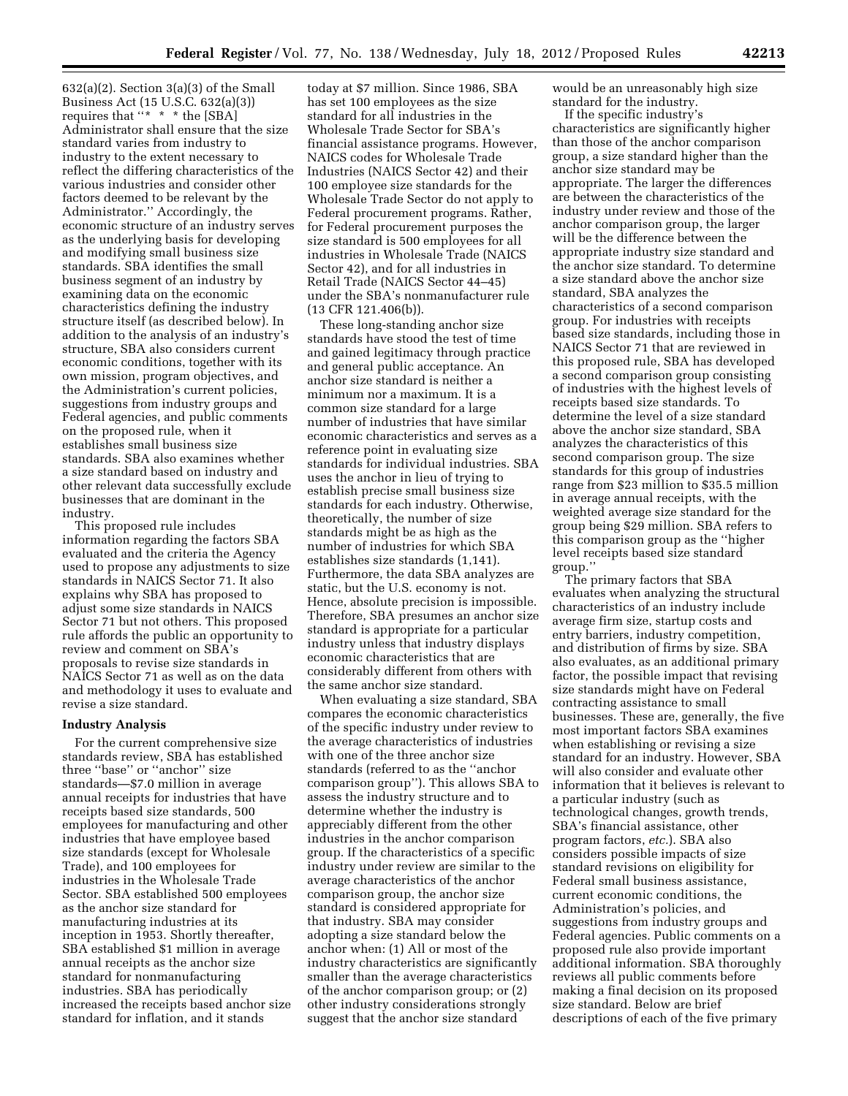$632(a)(2)$ . Section  $3(a)(3)$  of the Small Business Act (15 U.S.C. 632(a)(3)) requires that ''\* \* \* the [SBA] Administrator shall ensure that the size standard varies from industry to industry to the extent necessary to reflect the differing characteristics of the various industries and consider other factors deemed to be relevant by the Administrator.'' Accordingly, the economic structure of an industry serves as the underlying basis for developing and modifying small business size standards. SBA identifies the small business segment of an industry by examining data on the economic characteristics defining the industry structure itself (as described below). In addition to the analysis of an industry's structure, SBA also considers current economic conditions, together with its own mission, program objectives, and the Administration's current policies, suggestions from industry groups and Federal agencies, and public comments on the proposed rule, when it establishes small business size standards. SBA also examines whether a size standard based on industry and other relevant data successfully exclude businesses that are dominant in the industry.

This proposed rule includes information regarding the factors SBA evaluated and the criteria the Agency used to propose any adjustments to size standards in NAICS Sector 71. It also explains why SBA has proposed to adjust some size standards in NAICS Sector 71 but not others. This proposed rule affords the public an opportunity to review and comment on SBA's proposals to revise size standards in NAICS Sector 71 as well as on the data and methodology it uses to evaluate and revise a size standard.

#### **Industry Analysis**

For the current comprehensive size standards review, SBA has established three ''base'' or ''anchor'' size standards—\$7.0 million in average annual receipts for industries that have receipts based size standards, 500 employees for manufacturing and other industries that have employee based size standards (except for Wholesale Trade), and 100 employees for industries in the Wholesale Trade Sector. SBA established 500 employees as the anchor size standard for manufacturing industries at its inception in 1953. Shortly thereafter, SBA established \$1 million in average annual receipts as the anchor size standard for nonmanufacturing industries. SBA has periodically increased the receipts based anchor size standard for inflation, and it stands

today at \$7 million. Since 1986, SBA has set 100 employees as the size standard for all industries in the Wholesale Trade Sector for SBA's financial assistance programs. However, NAICS codes for Wholesale Trade Industries (NAICS Sector 42) and their 100 employee size standards for the Wholesale Trade Sector do not apply to Federal procurement programs. Rather, for Federal procurement purposes the size standard is 500 employees for all industries in Wholesale Trade (NAICS Sector 42), and for all industries in Retail Trade (NAICS Sector 44–45) under the SBA's nonmanufacturer rule (13 CFR 121.406(b)).

These long-standing anchor size standards have stood the test of time and gained legitimacy through practice and general public acceptance. An anchor size standard is neither a minimum nor a maximum. It is a common size standard for a large number of industries that have similar economic characteristics and serves as a reference point in evaluating size standards for individual industries. SBA uses the anchor in lieu of trying to establish precise small business size standards for each industry. Otherwise, theoretically, the number of size standards might be as high as the number of industries for which SBA establishes size standards (1,141). Furthermore, the data SBA analyzes are static, but the U.S. economy is not. Hence, absolute precision is impossible. Therefore, SBA presumes an anchor size standard is appropriate for a particular industry unless that industry displays economic characteristics that are considerably different from others with the same anchor size standard.

When evaluating a size standard, SBA compares the economic characteristics of the specific industry under review to the average characteristics of industries with one of the three anchor size standards (referred to as the ''anchor comparison group''). This allows SBA to assess the industry structure and to determine whether the industry is appreciably different from the other industries in the anchor comparison group. If the characteristics of a specific industry under review are similar to the average characteristics of the anchor comparison group, the anchor size standard is considered appropriate for that industry. SBA may consider adopting a size standard below the anchor when: (1) All or most of the industry characteristics are significantly smaller than the average characteristics of the anchor comparison group; or (2) other industry considerations strongly suggest that the anchor size standard

would be an unreasonably high size standard for the industry.

If the specific industry's characteristics are significantly higher than those of the anchor comparison group, a size standard higher than the anchor size standard may be appropriate. The larger the differences are between the characteristics of the industry under review and those of the anchor comparison group, the larger will be the difference between the appropriate industry size standard and the anchor size standard. To determine a size standard above the anchor size standard, SBA analyzes the characteristics of a second comparison group. For industries with receipts based size standards, including those in NAICS Sector 71 that are reviewed in this proposed rule, SBA has developed a second comparison group consisting of industries with the highest levels of receipts based size standards. To determine the level of a size standard above the anchor size standard, SBA analyzes the characteristics of this second comparison group. The size standards for this group of industries range from \$23 million to \$35.5 million in average annual receipts, with the weighted average size standard for the group being \$29 million. SBA refers to this comparison group as the ''higher level receipts based size standard group.''

The primary factors that SBA evaluates when analyzing the structural characteristics of an industry include average firm size, startup costs and entry barriers, industry competition, and distribution of firms by size. SBA also evaluates, as an additional primary factor, the possible impact that revising size standards might have on Federal contracting assistance to small businesses. These are, generally, the five most important factors SBA examines when establishing or revising a size standard for an industry. However, SBA will also consider and evaluate other information that it believes is relevant to a particular industry (such as technological changes, growth trends, SBA's financial assistance, other program factors, *etc.*). SBA also considers possible impacts of size standard revisions on eligibility for Federal small business assistance, current economic conditions, the Administration's policies, and suggestions from industry groups and Federal agencies. Public comments on a proposed rule also provide important additional information. SBA thoroughly reviews all public comments before making a final decision on its proposed size standard. Below are brief descriptions of each of the five primary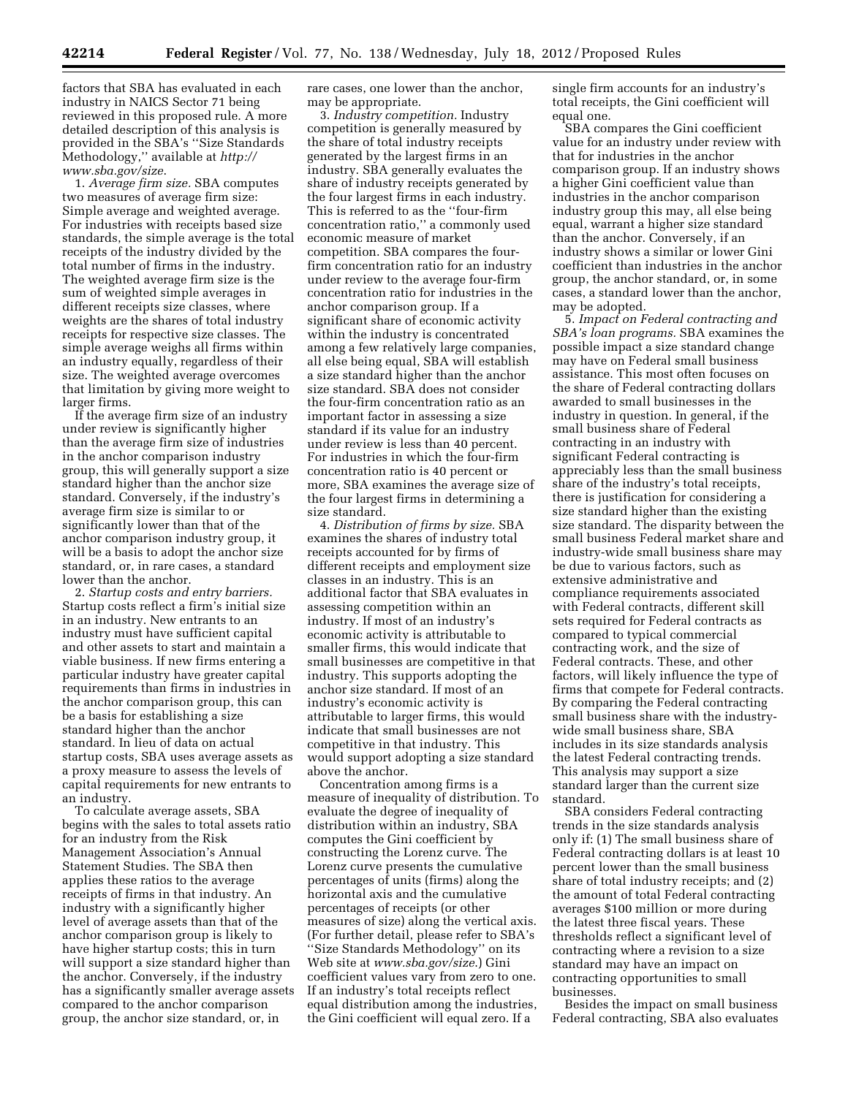factors that SBA has evaluated in each industry in NAICS Sector 71 being reviewed in this proposed rule. A more detailed description of this analysis is provided in the SBA's ''Size Standards Methodology,'' available at *[http://](http://www.sba.gov/size) [www.sba.gov/size](http://www.sba.gov/size)*.

1. *Average firm size.* SBA computes two measures of average firm size: Simple average and weighted average. For industries with receipts based size standards, the simple average is the total receipts of the industry divided by the total number of firms in the industry. The weighted average firm size is the sum of weighted simple averages in different receipts size classes, where weights are the shares of total industry receipts for respective size classes. The simple average weighs all firms within an industry equally, regardless of their size. The weighted average overcomes that limitation by giving more weight to larger firms.

If the average firm size of an industry under review is significantly higher than the average firm size of industries in the anchor comparison industry group, this will generally support a size standard higher than the anchor size standard. Conversely, if the industry's average firm size is similar to or significantly lower than that of the anchor comparison industry group, it will be a basis to adopt the anchor size standard, or, in rare cases, a standard lower than the anchor.

2. *Startup costs and entry barriers.*  Startup costs reflect a firm's initial size in an industry. New entrants to an industry must have sufficient capital and other assets to start and maintain a viable business. If new firms entering a particular industry have greater capital requirements than firms in industries in the anchor comparison group, this can be a basis for establishing a size standard higher than the anchor standard. In lieu of data on actual startup costs, SBA uses average assets as a proxy measure to assess the levels of capital requirements for new entrants to an industry.

To calculate average assets, SBA begins with the sales to total assets ratio for an industry from the Risk Management Association's Annual Statement Studies. The SBA then applies these ratios to the average receipts of firms in that industry. An industry with a significantly higher level of average assets than that of the anchor comparison group is likely to have higher startup costs; this in turn will support a size standard higher than the anchor. Conversely, if the industry has a significantly smaller average assets compared to the anchor comparison group, the anchor size standard, or, in

rare cases, one lower than the anchor, may be appropriate.

3. *Industry competition.* Industry competition is generally measured by the share of total industry receipts generated by the largest firms in an industry. SBA generally evaluates the share of industry receipts generated by the four largest firms in each industry. This is referred to as the ''four-firm concentration ratio,'' a commonly used economic measure of market competition. SBA compares the fourfirm concentration ratio for an industry under review to the average four-firm concentration ratio for industries in the anchor comparison group. If a significant share of economic activity within the industry is concentrated among a few relatively large companies, all else being equal, SBA will establish a size standard higher than the anchor size standard. SBA does not consider the four-firm concentration ratio as an important factor in assessing a size standard if its value for an industry under review is less than 40 percent. For industries in which the four-firm concentration ratio is 40 percent or more, SBA examines the average size of the four largest firms in determining a size standard.

4. *Distribution of firms by size.* SBA examines the shares of industry total receipts accounted for by firms of different receipts and employment size classes in an industry. This is an additional factor that SBA evaluates in assessing competition within an industry. If most of an industry's economic activity is attributable to smaller firms, this would indicate that small businesses are competitive in that industry. This supports adopting the anchor size standard. If most of an industry's economic activity is attributable to larger firms, this would indicate that small businesses are not competitive in that industry. This would support adopting a size standard above the anchor.

Concentration among firms is a measure of inequality of distribution. To evaluate the degree of inequality of distribution within an industry, SBA computes the Gini coefficient by constructing the Lorenz curve. The Lorenz curve presents the cumulative percentages of units (firms) along the horizontal axis and the cumulative percentages of receipts (or other measures of size) along the vertical axis. (For further detail, please refer to SBA's ''Size Standards Methodology'' on its Web site at *[www.sba.gov/size](http://www.sba.gov/size)*.) Gini coefficient values vary from zero to one. If an industry's total receipts reflect equal distribution among the industries, the Gini coefficient will equal zero. If a

single firm accounts for an industry's total receipts, the Gini coefficient will equal one.

SBA compares the Gini coefficient value for an industry under review with that for industries in the anchor comparison group. If an industry shows a higher Gini coefficient value than industries in the anchor comparison industry group this may, all else being equal, warrant a higher size standard than the anchor. Conversely, if an industry shows a similar or lower Gini coefficient than industries in the anchor group, the anchor standard, or, in some cases, a standard lower than the anchor, may be adopted.

5. *Impact on Federal contracting and SBA's loan programs.* SBA examines the possible impact a size standard change may have on Federal small business assistance. This most often focuses on the share of Federal contracting dollars awarded to small businesses in the industry in question. In general, if the small business share of Federal contracting in an industry with significant Federal contracting is appreciably less than the small business share of the industry's total receipts, there is justification for considering a size standard higher than the existing size standard. The disparity between the small business Federal market share and industry-wide small business share may be due to various factors, such as extensive administrative and compliance requirements associated with Federal contracts, different skill sets required for Federal contracts as compared to typical commercial contracting work, and the size of Federal contracts. These, and other factors, will likely influence the type of firms that compete for Federal contracts. By comparing the Federal contracting small business share with the industrywide small business share, SBA includes in its size standards analysis the latest Federal contracting trends. This analysis may support a size standard larger than the current size standard.

SBA considers Federal contracting trends in the size standards analysis only if: (1) The small business share of Federal contracting dollars is at least 10 percent lower than the small business share of total industry receipts; and (2) the amount of total Federal contracting averages \$100 million or more during the latest three fiscal years. These thresholds reflect a significant level of contracting where a revision to a size standard may have an impact on contracting opportunities to small businesses.

Besides the impact on small business Federal contracting, SBA also evaluates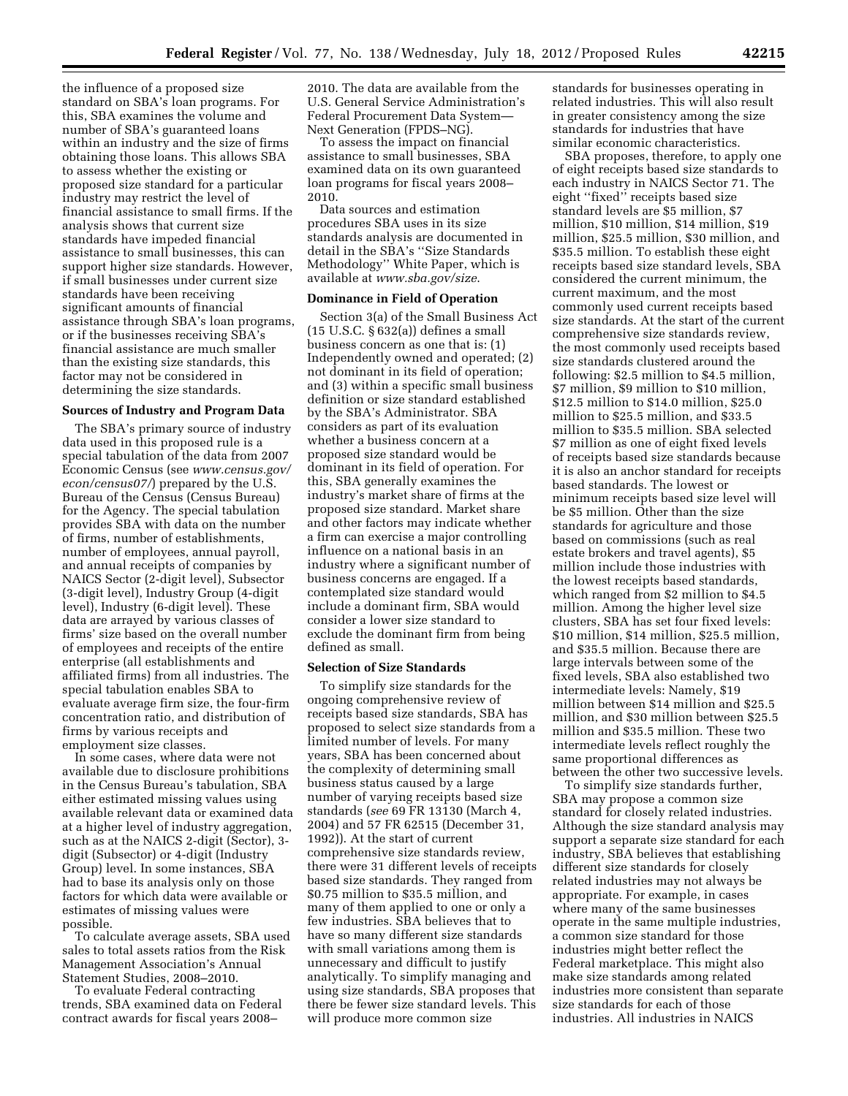the influence of a proposed size standard on SBA's loan programs. For this, SBA examines the volume and number of SBA's guaranteed loans within an industry and the size of firms obtaining those loans. This allows SBA to assess whether the existing or proposed size standard for a particular industry may restrict the level of financial assistance to small firms. If the analysis shows that current size standards have impeded financial assistance to small businesses, this can support higher size standards. However, if small businesses under current size standards have been receiving significant amounts of financial assistance through SBA's loan programs, or if the businesses receiving SBA's financial assistance are much smaller than the existing size standards, this factor may not be considered in determining the size standards.

## **Sources of Industry and Program Data**

The SBA's primary source of industry data used in this proposed rule is a special tabulation of the data from 2007 Economic Census (see *[www.census.gov/](http://www.census.gov/econ/census07/) [econ/census07/](http://www.census.gov/econ/census07/)*) prepared by the U.S. Bureau of the Census (Census Bureau) for the Agency. The special tabulation provides SBA with data on the number of firms, number of establishments, number of employees, annual payroll, and annual receipts of companies by NAICS Sector (2-digit level), Subsector (3-digit level), Industry Group (4-digit level), Industry (6-digit level). These data are arrayed by various classes of firms' size based on the overall number of employees and receipts of the entire enterprise (all establishments and affiliated firms) from all industries. The special tabulation enables SBA to evaluate average firm size, the four-firm concentration ratio, and distribution of firms by various receipts and employment size classes.

In some cases, where data were not available due to disclosure prohibitions in the Census Bureau's tabulation, SBA either estimated missing values using available relevant data or examined data at a higher level of industry aggregation, such as at the NAICS 2-digit (Sector), 3 digit (Subsector) or 4-digit (Industry Group) level. In some instances, SBA had to base its analysis only on those factors for which data were available or estimates of missing values were possible.

To calculate average assets, SBA used sales to total assets ratios from the Risk Management Association's Annual Statement Studies, 2008–2010.

To evaluate Federal contracting trends, SBA examined data on Federal contract awards for fiscal years 2008–

2010. The data are available from the U.S. General Service Administration's Federal Procurement Data System— Next Generation (FPDS–NG).

To assess the impact on financial assistance to small businesses, SBA examined data on its own guaranteed loan programs for fiscal years 2008– 2010.

Data sources and estimation procedures SBA uses in its size standards analysis are documented in detail in the SBA's ''Size Standards Methodology'' White Paper, which is available at *[www.sba.gov/size](http://www.sba.gov/size)*.

### **Dominance in Field of Operation**

Section 3(a) of the Small Business Act (15 U.S.C. § 632(a)) defines a small business concern as one that is: (1) Independently owned and operated; (2) not dominant in its field of operation; and (3) within a specific small business definition or size standard established by the SBA's Administrator. SBA considers as part of its evaluation whether a business concern at a proposed size standard would be dominant in its field of operation. For this, SBA generally examines the industry's market share of firms at the proposed size standard. Market share and other factors may indicate whether a firm can exercise a major controlling influence on a national basis in an industry where a significant number of business concerns are engaged. If a contemplated size standard would include a dominant firm, SBA would consider a lower size standard to exclude the dominant firm from being defined as small.

### **Selection of Size Standards**

To simplify size standards for the ongoing comprehensive review of receipts based size standards, SBA has proposed to select size standards from a limited number of levels. For many years, SBA has been concerned about the complexity of determining small business status caused by a large number of varying receipts based size standards (*see* 69 FR 13130 (March 4, 2004) and 57 FR 62515 (December 31, 1992)). At the start of current comprehensive size standards review, there were 31 different levels of receipts based size standards. They ranged from \$0.75 million to \$35.5 million, and many of them applied to one or only a few industries. SBA believes that to have so many different size standards with small variations among them is unnecessary and difficult to justify analytically. To simplify managing and using size standards, SBA proposes that there be fewer size standard levels. This will produce more common size

standards for businesses operating in related industries. This will also result in greater consistency among the size standards for industries that have similar economic characteristics.

SBA proposes, therefore, to apply one of eight receipts based size standards to each industry in NAICS Sector 71. The eight "fixed" receipts based size standard levels are \$5 million, \$7 million, \$10 million, \$14 million, \$19 million, \$25.5 million, \$30 million, and \$35.5 million. To establish these eight receipts based size standard levels, SBA considered the current minimum, the current maximum, and the most commonly used current receipts based size standards. At the start of the current comprehensive size standards review, the most commonly used receipts based size standards clustered around the following: \$2.5 million to \$4.5 million, \$7 million, \$9 million to \$10 million, \$12.5 million to \$14.0 million, \$25.0 million to \$25.5 million, and \$33.5 million to \$35.5 million. SBA selected \$7 million as one of eight fixed levels of receipts based size standards because it is also an anchor standard for receipts based standards. The lowest or minimum receipts based size level will be \$5 million. Other than the size standards for agriculture and those based on commissions (such as real estate brokers and travel agents), \$5 million include those industries with the lowest receipts based standards, which ranged from \$2 million to \$4.5 million. Among the higher level size clusters, SBA has set four fixed levels: \$10 million, \$14 million, \$25.5 million, and \$35.5 million. Because there are large intervals between some of the fixed levels, SBA also established two intermediate levels: Namely, \$19 million between \$14 million and \$25.5 million, and \$30 million between \$25.5 million and \$35.5 million. These two intermediate levels reflect roughly the same proportional differences as between the other two successive levels.

To simplify size standards further, SBA may propose a common size standard for closely related industries. Although the size standard analysis may support a separate size standard for each industry, SBA believes that establishing different size standards for closely related industries may not always be appropriate. For example, in cases where many of the same businesses operate in the same multiple industries, a common size standard for those industries might better reflect the Federal marketplace. This might also make size standards among related industries more consistent than separate size standards for each of those industries. All industries in NAICS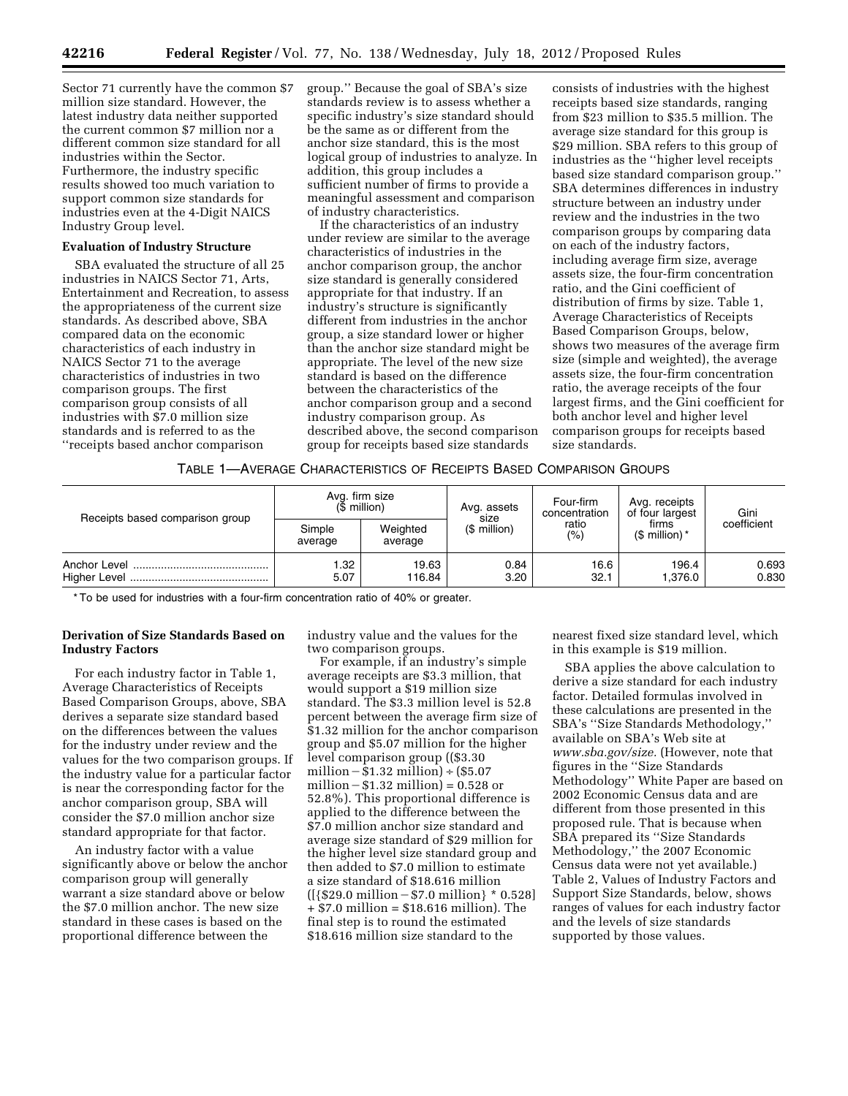Sector 71 currently have the common \$7 million size standard. However, the latest industry data neither supported the current common \$7 million nor a different common size standard for all industries within the Sector. Furthermore, the industry specific results showed too much variation to support common size standards for industries even at the 4-Digit NAICS Industry Group level.

#### **Evaluation of Industry Structure**

SBA evaluated the structure of all 25 industries in NAICS Sector 71, Arts, Entertainment and Recreation, to assess the appropriateness of the current size standards. As described above, SBA compared data on the economic characteristics of each industry in NAICS Sector 71 to the average characteristics of industries in two comparison groups. The first comparison group consists of all industries with \$7.0 million size standards and is referred to as the ''receipts based anchor comparison

group.'' Because the goal of SBA's size standards review is to assess whether a specific industry's size standard should be the same as or different from the anchor size standard, this is the most logical group of industries to analyze. In addition, this group includes a sufficient number of firms to provide a meaningful assessment and comparison of industry characteristics.

If the characteristics of an industry under review are similar to the average characteristics of industries in the anchor comparison group, the anchor size standard is generally considered appropriate for that industry. If an industry's structure is significantly different from industries in the anchor group, a size standard lower or higher than the anchor size standard might be appropriate. The level of the new size standard is based on the difference between the characteristics of the anchor comparison group and a second industry comparison group. As described above, the second comparison group for receipts based size standards

consists of industries with the highest receipts based size standards, ranging from \$23 million to \$35.5 million. The average size standard for this group is \$29 million. SBA refers to this group of industries as the ''higher level receipts based size standard comparison group.'' SBA determines differences in industry structure between an industry under review and the industries in the two comparison groups by comparing data on each of the industry factors, including average firm size, average assets size, the four-firm concentration ratio, and the Gini coefficient of distribution of firms by size. Table 1, Average Characteristics of Receipts Based Comparison Groups, below, shows two measures of the average firm size (simple and weighted), the average assets size, the four-firm concentration ratio, the average receipts of the four largest firms, and the Gini coefficient for both anchor level and higher level comparison groups for receipts based size standards.

#### TABLE 1—AVERAGE CHARACTERISTICS OF RECEIPTS BASED COMPARISON GROUPS

| Receipts based comparison group | $(S$ million)     | Avg. firm size      | Avg. assets<br>size | Four-firm<br>concentration | Avg. receipts<br>of four largest | Gini           |  |
|---------------------------------|-------------------|---------------------|---------------------|----------------------------|----------------------------------|----------------|--|
|                                 | Simple<br>average | Weighted<br>average | $$$ million)        | ratio<br>(% )              | firms<br>$$$ million) $*$        | coefficient    |  |
|                                 | .32<br>5.07       | 19.63<br>116.84     | 0.84<br>3.20        | 16.6<br>32.1               | 196.4<br>1.376.0                 | 0.693<br>0.830 |  |

\* To be used for industries with a four-firm concentration ratio of 40% or greater.

### **Derivation of Size Standards Based on Industry Factors**

For each industry factor in Table 1, Average Characteristics of Receipts Based Comparison Groups, above, SBA derives a separate size standard based on the differences between the values for the industry under review and the values for the two comparison groups. If the industry value for a particular factor is near the corresponding factor for the anchor comparison group, SBA will consider the \$7.0 million anchor size standard appropriate for that factor.

An industry factor with a value significantly above or below the anchor comparison group will generally warrant a size standard above or below the \$7.0 million anchor. The new size standard in these cases is based on the proportional difference between the

industry value and the values for the two comparison groups.

For example, if an industry's simple average receipts are \$3.3 million, that would support a \$19 million size standard. The \$3.3 million level is 52.8 percent between the average firm size of \$1.32 million for the anchor comparison group and \$5.07 million for the higher level comparison group ((\$3.30 million –  $$1.32$  million) ÷ (\$5.07 million  $- $1.32$  million) = 0.528 or 52.8%). This proportional difference is applied to the difference between the \$7.0 million anchor size standard and average size standard of \$29 million for the higher level size standard group and then added to \$7.0 million to estimate a size standard of \$18.616 million  $({\frac{529.0 \text{ million} - $7.0 \text{ million}} * 0.528}]$ + \$7.0 million = \$18.616 million). The final step is to round the estimated \$18.616 million size standard to the

nearest fixed size standard level, which in this example is \$19 million.

SBA applies the above calculation to derive a size standard for each industry factor. Detailed formulas involved in these calculations are presented in the SBA's ''Size Standards Methodology,'' available on SBA's Web site at *[www.sba.gov/size.](http://www.sba.gov/size)* (However, note that figures in the ''Size Standards Methodology'' White Paper are based on 2002 Economic Census data and are different from those presented in this proposed rule. That is because when SBA prepared its ''Size Standards Methodology,'' the 2007 Economic Census data were not yet available.) Table 2, Values of Industry Factors and Support Size Standards, below, shows ranges of values for each industry factor and the levels of size standards supported by those values.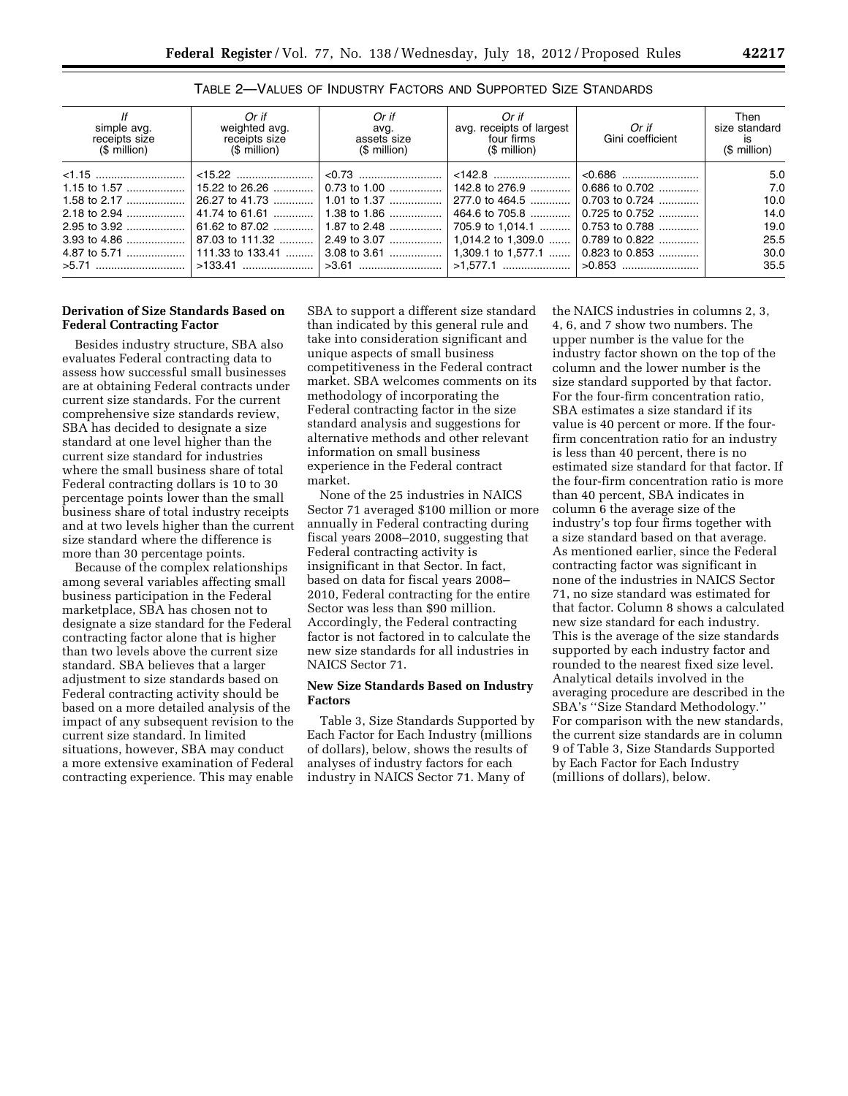| lf<br>simple avg.<br>receipts size<br>(\$ million) | Or if<br>weighted avg.<br>receipts size<br>(\$ million) | Or if<br>avg.<br>assets size<br>$$$ million) | Or if<br>avg. receipts of largest<br>four firms<br>(\$ million) | Or if<br>Gini coefficient          | Then<br>size standard<br>is<br>(\$ million) |
|----------------------------------------------------|---------------------------------------------------------|----------------------------------------------|-----------------------------------------------------------------|------------------------------------|---------------------------------------------|
|                                                    |                                                         |                                              |                                                                 |                                    | 5.0                                         |
|                                                    |                                                         |                                              |                                                                 |                                    | 7.0                                         |
|                                                    |                                                         |                                              |                                                                 | 277.0 to 464.5  0.703 to 0.724     | 10.0                                        |
|                                                    | 41.74 to 61.61    1.38 to 1.86                          |                                              |                                                                 | 464.6 to 705.8  0.725 to 0.752     | 14.0                                        |
|                                                    |                                                         |                                              |                                                                 | 705.9 to 1,014.1    0.753 to 0.788 | 19.0                                        |
|                                                    |                                                         |                                              |                                                                 |                                    | 25.5                                        |
|                                                    |                                                         |                                              |                                                                 |                                    | 30.0                                        |
| >5.71    >133.41    >3.61    >1.577.1    >0.853    |                                                         |                                              |                                                                 |                                    | 35.5                                        |

TABLE 2—VALUES OF INDUSTRY FACTORS AND SUPPORTED SIZE STANDARDS

# **Derivation of Size Standards Based on Federal Contracting Factor**

Besides industry structure, SBA also evaluates Federal contracting data to assess how successful small businesses are at obtaining Federal contracts under current size standards. For the current comprehensive size standards review, SBA has decided to designate a size standard at one level higher than the current size standard for industries where the small business share of total Federal contracting dollars is 10 to 30 percentage points lower than the small business share of total industry receipts and at two levels higher than the current size standard where the difference is more than 30 percentage points.

Because of the complex relationships among several variables affecting small business participation in the Federal marketplace, SBA has chosen not to designate a size standard for the Federal contracting factor alone that is higher than two levels above the current size standard. SBA believes that a larger adjustment to size standards based on Federal contracting activity should be based on a more detailed analysis of the impact of any subsequent revision to the current size standard. In limited situations, however, SBA may conduct a more extensive examination of Federal contracting experience. This may enable

SBA to support a different size standard than indicated by this general rule and take into consideration significant and unique aspects of small business competitiveness in the Federal contract market. SBA welcomes comments on its methodology of incorporating the Federal contracting factor in the size standard analysis and suggestions for alternative methods and other relevant information on small business experience in the Federal contract market.

None of the 25 industries in NAICS Sector 71 averaged \$100 million or more annually in Federal contracting during fiscal years 2008–2010, suggesting that Federal contracting activity is insignificant in that Sector. In fact, based on data for fiscal years 2008– 2010, Federal contracting for the entire Sector was less than \$90 million. Accordingly, the Federal contracting factor is not factored in to calculate the new size standards for all industries in NAICS Sector 71.

## **New Size Standards Based on Industry Factors**

Table 3, Size Standards Supported by Each Factor for Each Industry (millions of dollars), below, shows the results of analyses of industry factors for each industry in NAICS Sector 71. Many of

the NAICS industries in columns 2, 3, 4, 6, and 7 show two numbers. The upper number is the value for the industry factor shown on the top of the column and the lower number is the size standard supported by that factor. For the four-firm concentration ratio, SBA estimates a size standard if its value is 40 percent or more. If the fourfirm concentration ratio for an industry is less than 40 percent, there is no estimated size standard for that factor. If the four-firm concentration ratio is more than 40 percent, SBA indicates in column 6 the average size of the industry's top four firms together with a size standard based on that average. As mentioned earlier, since the Federal contracting factor was significant in none of the industries in NAICS Sector 71, no size standard was estimated for that factor. Column 8 shows a calculated new size standard for each industry. This is the average of the size standards supported by each industry factor and rounded to the nearest fixed size level. Analytical details involved in the averaging procedure are described in the SBA's ''Size Standard Methodology.'' For comparison with the new standards, the current size standards are in column 9 of Table 3, Size Standards Supported by Each Factor for Each Industry (millions of dollars), below.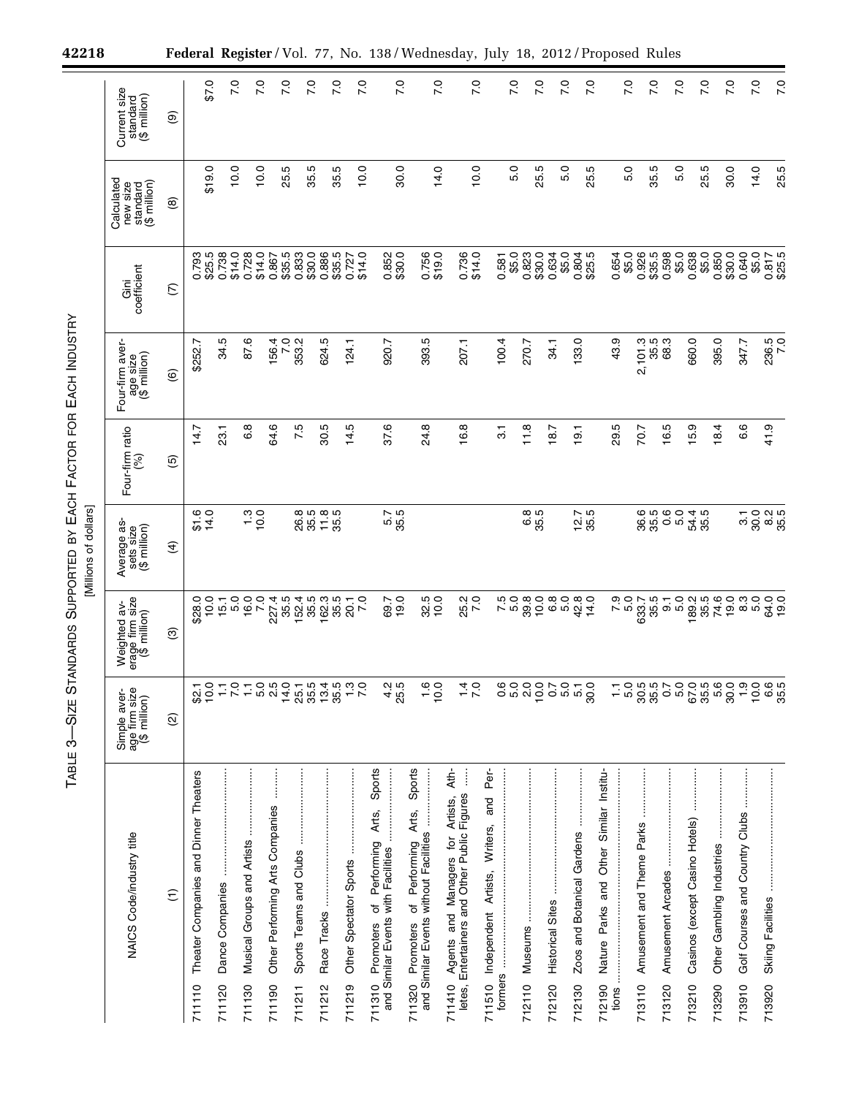| 42218                                                                               |                                                      |                    |                                                 |                           |                                      |                                           |                 |                                  |                       |                                                                       |                                                                                                 |                 | Federal Register/Vol. 77, No. 138/Wednesday, July 18, 2012/Proposed Rules                        |                                                                                                       |                                                           |                           |                   |                 |                                   |                                      |                                                                           |                 |                                     |                             |                                          |                                     |                                |                                          |                             |
|-------------------------------------------------------------------------------------|------------------------------------------------------|--------------------|-------------------------------------------------|---------------------------|--------------------------------------|-------------------------------------------|-----------------|----------------------------------|-----------------------|-----------------------------------------------------------------------|-------------------------------------------------------------------------------------------------|-----------------|--------------------------------------------------------------------------------------------------|-------------------------------------------------------------------------------------------------------|-----------------------------------------------------------|---------------------------|-------------------|-----------------|-----------------------------------|--------------------------------------|---------------------------------------------------------------------------|-----------------|-------------------------------------|-----------------------------|------------------------------------------|-------------------------------------|--------------------------------|------------------------------------------|-----------------------------|
|                                                                                     | Current size<br>standard<br>(\$ million)             | $\circledcirc$     | 0.25                                            |                           | $\overline{70}$                      | 7.0                                       | 7.0             | $\overline{70}$                  | 7.0                   | 70                                                                    |                                                                                                 | $\overline{70}$ | 7.0                                                                                              |                                                                                                       | $\overline{70}$                                           |                           | 7.0               | $\overline{70}$ | $\overline{70}$                   | $\overline{70}$                      |                                                                           | $\overline{70}$ | $\overline{70}$                     | 7.0                         |                                          | $\overline{2}$                      | 7.0                            | 7.0                                      | 7.0                         |
|                                                                                     | Calculated<br>new size<br>standard<br>(\$ million)   | $\circledcirc$     | \$19.0                                          |                           | 10.0                                 | 10.0                                      | 25.5            | 35.5                             | 35.5                  | 10.0                                                                  |                                                                                                 | 30.0            | 14.0                                                                                             |                                                                                                       | 10.0                                                      |                           | 5.0               | 25.5            | 5.0                               | 25.5                                 |                                                                           | 5.0             | 35.5                                | 5.0                         |                                          | 25.5                                | 30.0                           | 14.0                                     | 25.5                        |
| SUPPORTED BY EACH FACTOR FOR EACH INDUSTRY<br>[Millions of dollars]<br><b>DARDS</b> | Gini<br>coefficient                                  | $\widehat{C}$      | 0.793<br>\$25.5                                 | 0.738                     | \$14.0<br>0.728                      | \$14.0<br>0.867                           | \$35.5<br>0.833 | \$30.0                           | 0.886<br>\$35.5       | \$14.0<br>0.727                                                       | 0.852                                                                                           | \$30.0          | 0.756<br>\$19.0                                                                                  | 0.736                                                                                                 | \$14.0                                                    | 0.581                     | \$5.0<br>0.823    | \$30.0          | 0.634<br>\$5.0                    | 0.804<br>\$25.5                      | 0.654                                                                     | \$5.0           | 0.926<br>\$35.5                     | 0.598<br>\$5.0              | 0.638                                    | \$5.0<br>0.850                      | \$30.0                         | 0.640<br>\$5.0                           | 0.817<br>\$25.5             |
|                                                                                     | Four-firm aver-<br>age size<br>(\$ million)          | $\circlede$        | \$252.7                                         | 34.5                      | 87.6                                 | 156.4                                     | 7.0<br>353.2    |                                  | 624.5                 | 124.1                                                                 | 920.7                                                                                           |                 | 393.5                                                                                            | 207.1                                                                                                 |                                                           | 100.4                     | 270.7             |                 | 34.1                              | 133.0                                | 43.9                                                                      |                 | 2,101.3<br>35.5                     | 68.3                        | 660.0                                    | 395.0                               |                                | 347.7                                    | 236.5<br>7.0                |
|                                                                                     | Four-firm ratio<br>(%)                               | $\overline{5}$     | 14.7                                            | 23.1                      | 6.8                                  | 64.6                                      |                 | 7.5                              | 30.5                  | 14.5                                                                  | 37.6                                                                                            |                 | 24.8                                                                                             | 16.8                                                                                                  |                                                           | $\overline{\mathfrak{S}}$ | 11.8              |                 | 18.7                              | 19.1                                 | 29.5                                                                      |                 | 70.7                                | Ю<br>$\frac{6}{1}$          | တ<br>$\frac{1}{2}$                       | 18.4                                |                                | 6.6                                      | 41.9                        |
|                                                                                     | Average as-<br>sets size<br>(\$ million)             | $\widehat{f}$      | $\begin{array}{c} 6 \\ 14.0 \\ 14 \end{array}$  |                           |                                      |                                           |                 | 26.5<br>35.5                     | $118$<br>35.5         |                                                                       |                                                                                                 | 5.5<br>35.5     |                                                                                                  |                                                                                                       |                                                           |                           |                   | 6.5<br>35.9     |                                   | $12.5$<br>35.5                       |                                                                           |                 | 36.5<br>35.5                        | 0.0<br>5.0                  | 54.4<br>35.5                             |                                     |                                | 30.0<br>$\overline{3}$                   | $8.2\,$<br>35.5             |
|                                                                                     | Weighted av-<br>erage firm size<br>(\$ million)<br>Φ | $\odot$            | 10.0<br>\$28.0                                  | $15.1$<br>$5.0$           | 16.0                                 | $\overline{7}0$<br>227.4                  | 35.5            | $152.4$<br>$155.3$<br>$162.3$    |                       | $35.5$<br>$20.1$<br>7.0                                               |                                                                                                 | 69.7<br>19.0    | 32.5<br>10.0                                                                                     |                                                                                                       | 25.2<br>7.0                                               | 7.5<br>5.0                | 39.8              | 10.0            |                                   |                                      |                                                                           | 5.0<br>5.0      | 633.7                               | 5<br>50 - 50<br>50 - 50     |                                          |                                     | $789.79$<br>$79.79$<br>$79.09$ | 8<br>8<br>8<br>8<br>8                    | 19.0                        |
| <b>STAN</b><br><b>SIZE</b><br>ო                                                     | Simple aver-<br>age firm size<br>(\$ million)        | $\widehat{\omega}$ | $82.1$<br>10.0                                  | Ξ                         |                                      | $0 - 0.5$<br>$7 - 0.5$                    | 14.0            | 25.1<br>35.5                     |                       | $\frac{1}{3}$ $\frac{2}{3}$ $\frac{1}{3}$ $\frac{1}{3}$ $\frac{1}{3}$ |                                                                                                 | $4.5$<br>25.5   | $\frac{10}{10}$                                                                                  |                                                                                                       | $\frac{1}{4}$ O                                           |                           | 000<br>000        | 0.00000         |                                   | 0 1<br>6 10 9<br>9                   | Ξ                                                                         | 5.0             |                                     | 88005<br>1889               |                                          |                                     |                                |                                          |                             |
| TABLE                                                                               | NAICS Code/industry title                            | $\widehat{\tau}$   | Theater Companies and Dinner Theaters<br>711110 | Dance Companies<br>711120 | Musical Groups and Artists<br>711130 | Other Performing Arts Companies<br>711190 |                 | Sports Teams and Clubs<br>711211 | Race Tracks<br>711212 | Other Spectator Sports<br>711219                                      | Sports<br>Arts,<br>Performing<br>and Similar Events with Facilities<br>Ⴆ<br>Promoters<br>711310 |                 | Sports<br>I1320 Promoters of Performing Arts,<br>and Similar Events without Facilities<br>711320 | Ath-<br>Agents and Managers for Artists,<br>Entertainers and Other Public Figures<br>711410<br>letes, | Per-<br>and<br>Writers,<br>Independent Artists,<br>711510 | formers                   | Museums<br>712110 |                 | <b>Historical Sites</b><br>712120 | Zoos and Botanical Gardens<br>712130 | Institu-<br>Similar<br>Other<br>and<br>Parks<br>Nature<br>712190<br>tions |                 | Amusement and Theme Parks<br>713110 | Amusement Arcades<br>713120 | Casinos (except Casino Hotels)<br>713210 | Other Gambling Industries<br>713290 |                                | Golf Courses and Country Clubs<br>713910 | Skiing Facilities<br>713920 |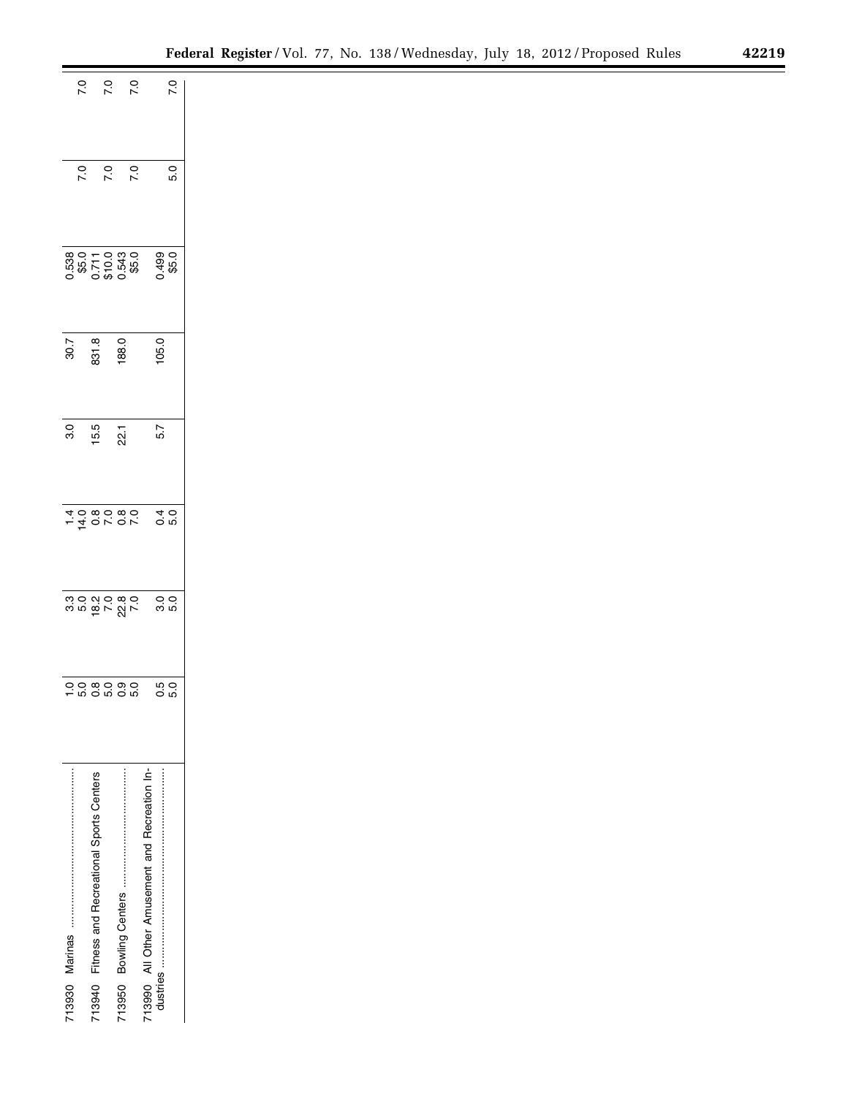| $0.50$<br>$0.70$<br>7.0<br>$\overline{2}$<br>$\overline{7}$ .0<br>0.538<br>\$5.0<br>0.710.0<br>0.543<br>0.543<br>30.7<br>831.8<br>188.0<br>3.0<br>15.5<br>22.1<br>$-4000000$<br>oo ∞o ∞o<br>- w o w o w<br>713990 All Other Amusement and Recreation In-<br>Fitness and Recreational Sports Centers |                 |
|-----------------------------------------------------------------------------------------------------------------------------------------------------------------------------------------------------------------------------------------------------------------------------------------------------|-----------------|
|                                                                                                                                                                                                                                                                                                     | 7.0             |
|                                                                                                                                                                                                                                                                                                     | 5.0             |
|                                                                                                                                                                                                                                                                                                     |                 |
|                                                                                                                                                                                                                                                                                                     | 0.499<br>\$5.0  |
|                                                                                                                                                                                                                                                                                                     | 105.0           |
|                                                                                                                                                                                                                                                                                                     |                 |
|                                                                                                                                                                                                                                                                                                     | 5.7             |
|                                                                                                                                                                                                                                                                                                     | $0.0$<br>$0.0$  |
|                                                                                                                                                                                                                                                                                                     | 0.0<br>5.0      |
|                                                                                                                                                                                                                                                                                                     | 5<br>0.0<br>0.0 |
|                                                                                                                                                                                                                                                                                                     |                 |
|                                                                                                                                                                                                                                                                                                     |                 |
|                                                                                                                                                                                                                                                                                                     |                 |
|                                                                                                                                                                                                                                                                                                     |                 |
| 713940                                                                                                                                                                                                                                                                                              |                 |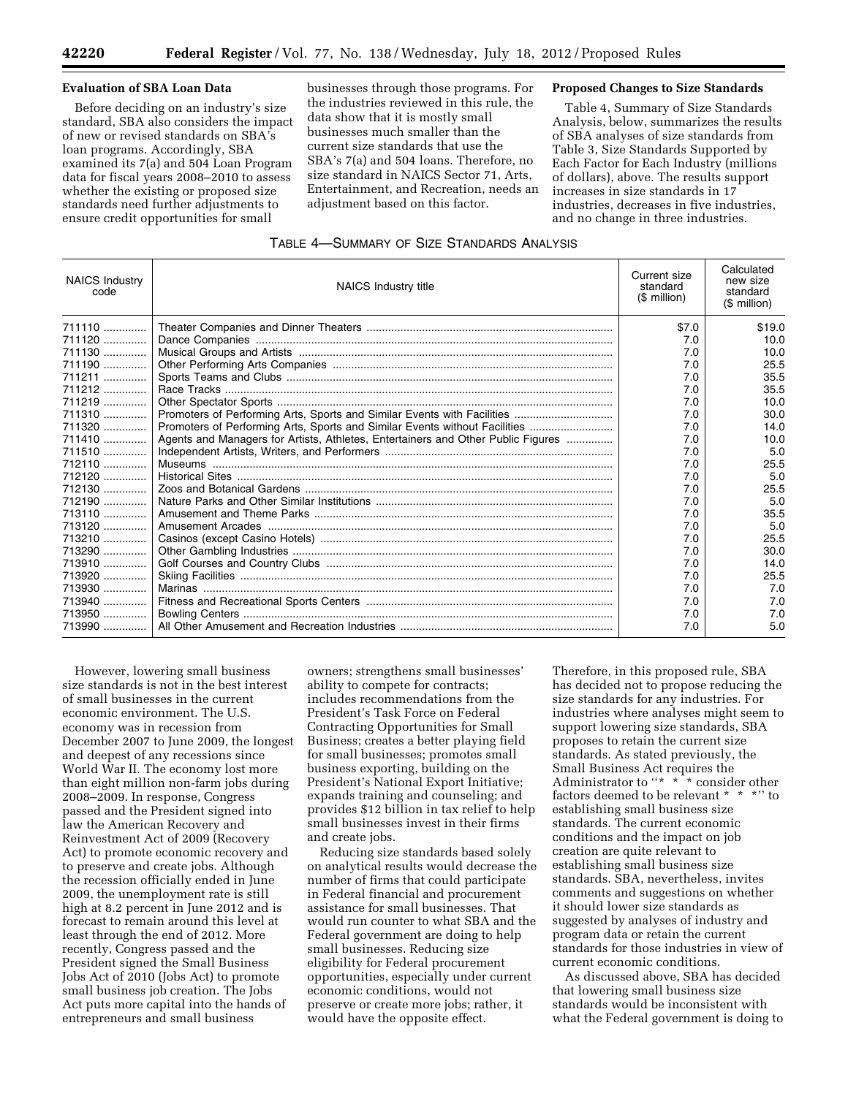### **Evaluation of SBA Loan Data**

Before deciding on an industry's size standard, SBA also considers the impact of new or revised standards on SBA's loan programs. Accordingly, SBA examined its 7(a) and 504 Loan Program data for fiscal years 2008–2010 to assess whether the existing or proposed size standards need further adjustments to ensure credit opportunities for small

businesses through those programs. For the industries reviewed in this rule, the data show that it is mostly small businesses much smaller than the current size standards that use the SBA's 7(a) and 504 loans. Therefore, no size standard in NAICS Sector 71, Arts, Entertainment, and Recreation, needs an adjustment based on this factor.

### **Proposed Changes to Size Standards**

Table 4, Summary of Size Standards Analysis, below, summarizes the results of SBA analyses of size standards from Table 3, Size Standards Supported by Each Factor for Each Industry (millions of dollars), above. The results support increases in size standards in 17 industries, decreases in five industries, and no change in three industries.

| <b>NAICS Industry</b><br>code | NAICS Industry title                                                             | Current size<br>standard<br>$($$ million) | Calculated<br>new size<br>standard<br>$$$ million) |
|-------------------------------|----------------------------------------------------------------------------------|-------------------------------------------|----------------------------------------------------|
| 711110                        |                                                                                  | \$7.0                                     | \$19.0                                             |
| 711120                        |                                                                                  | 7.0                                       | 10.0                                               |
| 711130                        |                                                                                  | 7.0                                       | 10.0                                               |
| 711190                        |                                                                                  | 7.0                                       | 25.5                                               |
| 711211                        |                                                                                  | 7.0                                       | 35.5                                               |
| 711212                        |                                                                                  | 7.0                                       | 35.5                                               |
| 711219                        |                                                                                  | 7.0                                       | 10.0                                               |
| 711310                        |                                                                                  | 7.0                                       | 30.0                                               |
| 711320                        | Promoters of Performing Arts, Sports and Similar Events without Facilities       | 7.0                                       | 14.0                                               |
| 711410                        | Agents and Managers for Artists, Athletes, Entertainers and Other Public Figures | 7.0                                       | 10.0                                               |
| 711510                        |                                                                                  | 7.0                                       | 5.0                                                |
| 712110                        |                                                                                  | 7.0                                       | 25.5                                               |
| 712120                        |                                                                                  | 7.0                                       | 5.0                                                |
| 712130                        |                                                                                  | 7.0                                       | 25.5                                               |
| 712190                        |                                                                                  | 7.0                                       | 5.0                                                |
| 713110                        |                                                                                  | 7.0                                       | 35.5                                               |
| 713120                        |                                                                                  | 7.0                                       | 5.0                                                |
| 713210                        |                                                                                  | 7.0                                       | 25.5                                               |
| 713290                        |                                                                                  | 7.0                                       | 30.0                                               |
| 713910                        |                                                                                  | 7.0                                       | 14.0                                               |
| 713920                        |                                                                                  | 7.0                                       | 25.5                                               |
| 713930                        |                                                                                  | 7.0                                       | 7.0                                                |
| 713940                        |                                                                                  | 7.0                                       | 7.0                                                |
| 713950                        |                                                                                  | 7.0                                       | 7.0                                                |
| 713990                        |                                                                                  | 7.0                                       | 5.0                                                |

However, lowering small business size standards is not in the best interest of small businesses in the current economic environment. The U.S. economy was in recession from December 2007 to June 2009, the longest and deepest of any recessions since World War II. The economy lost more than eight million non-farm jobs during 2008–2009. In response, Congress passed and the President signed into law the American Recovery and Reinvestment Act of 2009 (Recovery Act) to promote economic recovery and to preserve and create jobs. Although the recession officially ended in June 2009, the unemployment rate is still high at 8.2 percent in June 2012 and is forecast to remain around this level at least through the end of 2012. More recently, Congress passed and the President signed the Small Business Jobs Act of 2010 (Jobs Act) to promote small business job creation. The Jobs Act puts more capital into the hands of entrepreneurs and small business

owners; strengthens small businesses' ability to compete for contracts; includes recommendations from the President's Task Force on Federal Contracting Opportunities for Small Business; creates a better playing field for small businesses; promotes small business exporting, building on the President's National Export Initiative; expands training and counseling; and provides \$12 billion in tax relief to help small businesses invest in their firms and create jobs.

Reducing size standards based solely on analytical results would decrease the number of firms that could participate in Federal financial and procurement assistance for small businesses. That would run counter to what SBA and the Federal government are doing to help small businesses. Reducing size eligibility for Federal procurement opportunities, especially under current economic conditions, would not preserve or create more jobs; rather, it would have the opposite effect.

Therefore, in this proposed rule, SBA has decided not to propose reducing the size standards for any industries. For industries where analyses might seem to support lowering size standards, SBA proposes to retain the current size standards. As stated previously, the Small Business Act requires the Administrator to "\* \*<sup>\*</sup> consider other factors deemed to be relevant \* \* \*'' to establishing small business size standards. The current economic conditions and the impact on job creation are quite relevant to establishing small business size standards. SBA, nevertheless, invites comments and suggestions on whether it should lower size standards as suggested by analyses of industry and program data or retain the current standards for those industries in view of current economic conditions.

As discussed above, SBA has decided that lowering small business size standards would be inconsistent with what the Federal government is doing to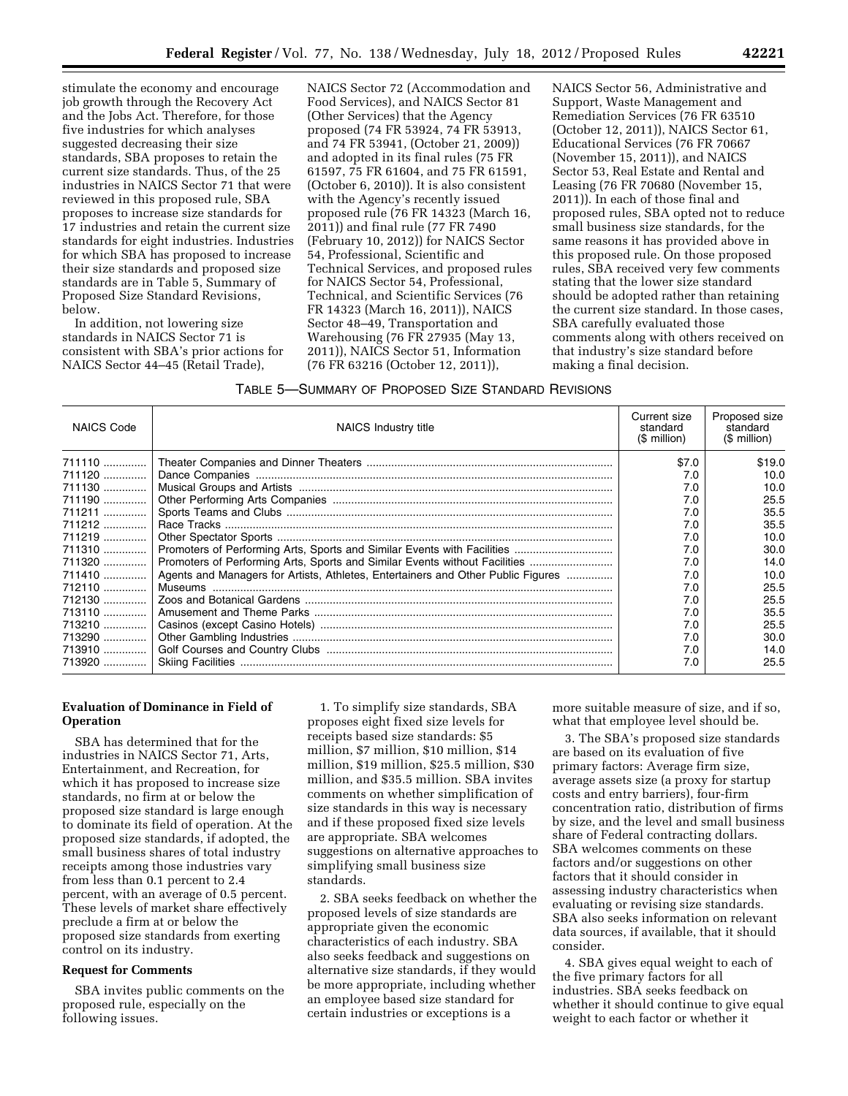stimulate the economy and encourage job growth through the Recovery Act and the Jobs Act. Therefore, for those five industries for which analyses suggested decreasing their size standards, SBA proposes to retain the current size standards. Thus, of the 25 industries in NAICS Sector 71 that were reviewed in this proposed rule, SBA proposes to increase size standards for 17 industries and retain the current size standards for eight industries. Industries for which SBA has proposed to increase their size standards and proposed size standards are in Table 5, Summary of Proposed Size Standard Revisions, below.

In addition, not lowering size standards in NAICS Sector 71 is consistent with SBA's prior actions for NAICS Sector 44–45 (Retail Trade),

NAICS Sector 72 (Accommodation and Food Services), and NAICS Sector 81 (Other Services) that the Agency proposed (74 FR 53924, 74 FR 53913, and 74 FR 53941, (October 21, 2009)) and adopted in its final rules (75 FR 61597, 75 FR 61604, and 75 FR 61591, (October 6, 2010)). It is also consistent with the Agency's recently issued proposed rule (76 FR 14323 (March 16, 2011)) and final rule (77 FR 7490 (February 10, 2012)) for NAICS Sector 54, Professional, Scientific and Technical Services, and proposed rules for NAICS Sector 54, Professional, Technical, and Scientific Services (76 FR 14323 (March 16, 2011)), NAICS Sector 48–49, Transportation and Warehousing (76 FR 27935 (May 13, 2011)), NAICS Sector 51, Information (76 FR 63216 (October 12, 2011)),

NAICS Sector 56, Administrative and Support, Waste Management and Remediation Services (76 FR 63510 (October 12, 2011)), NAICS Sector 61, Educational Services (76 FR 70667 (November 15, 2011)), and NAICS Sector 53, Real Estate and Rental and Leasing (76 FR 70680 (November 15, 2011)). In each of those final and proposed rules, SBA opted not to reduce small business size standards, for the same reasons it has provided above in this proposed rule. On those proposed rules, SBA received very few comments stating that the lower size standard should be adopted rather than retaining the current size standard. In those cases, SBA carefully evaluated those comments along with others received on that industry's size standard before making a final decision.

#### TABLE 5—SUMMARY OF PROPOSED SIZE STANDARD REVISIONS

| <b>NAICS Code</b> | NAICS Industry title                                                             | Current size<br>standard<br>$(S$ million) | Proposed size<br>standard<br>(\$ million) |
|-------------------|----------------------------------------------------------------------------------|-------------------------------------------|-------------------------------------------|
|                   |                                                                                  | \$7.0                                     | \$19.0                                    |
| 711120            |                                                                                  | 7.0                                       | 10.0                                      |
| 711130            |                                                                                  | 7.0                                       | 10.0                                      |
| 711190            |                                                                                  | 7.0                                       | 25.5                                      |
| $711211$          |                                                                                  | 7.0                                       | 35.5                                      |
| 711212            |                                                                                  | 7.0                                       | 35.5                                      |
| 711219            |                                                                                  | 7.0                                       | 10.0                                      |
|                   |                                                                                  | 7.0                                       | 30.0                                      |
| 711320            | Promoters of Performing Arts, Sports and Similar Events without Facilities       | 7.0                                       | 14.0                                      |
| 711410            | Agents and Managers for Artists, Athletes, Entertainers and Other Public Figures | 7.0                                       | 10.0                                      |
| 712110            |                                                                                  | 7.0                                       | 25.5                                      |
| 712130            |                                                                                  | 7.0                                       | 25.5                                      |
| 713110            |                                                                                  | 7.0                                       | 35.5                                      |
| 713210            |                                                                                  | 7.0                                       | 25.5                                      |
| 713290            |                                                                                  | 7.0                                       | 30.0                                      |
| 713910            |                                                                                  | 7.0                                       | 14.0                                      |
| 713920            |                                                                                  | 7.0                                       | 25.5                                      |

### **Evaluation of Dominance in Field of Operation**

SBA has determined that for the industries in NAICS Sector 71, Arts, Entertainment, and Recreation, for which it has proposed to increase size standards, no firm at or below the proposed size standard is large enough to dominate its field of operation. At the proposed size standards, if adopted, the small business shares of total industry receipts among those industries vary from less than 0.1 percent to 2.4 percent, with an average of 0.5 percent. These levels of market share effectively preclude a firm at or below the proposed size standards from exerting control on its industry.

#### **Request for Comments**

SBA invites public comments on the proposed rule, especially on the following issues.

1. To simplify size standards, SBA proposes eight fixed size levels for receipts based size standards: \$5 million, \$7 million, \$10 million, \$14 million, \$19 million, \$25.5 million, \$30 million, and \$35.5 million. SBA invites comments on whether simplification of size standards in this way is necessary and if these proposed fixed size levels are appropriate. SBA welcomes suggestions on alternative approaches to simplifying small business size standards.

2. SBA seeks feedback on whether the proposed levels of size standards are appropriate given the economic characteristics of each industry. SBA also seeks feedback and suggestions on alternative size standards, if they would be more appropriate, including whether an employee based size standard for certain industries or exceptions is a

more suitable measure of size, and if so, what that employee level should be.

3. The SBA's proposed size standards are based on its evaluation of five primary factors: Average firm size, average assets size (a proxy for startup costs and entry barriers), four-firm concentration ratio, distribution of firms by size, and the level and small business share of Federal contracting dollars. SBA welcomes comments on these factors and/or suggestions on other factors that it should consider in assessing industry characteristics when evaluating or revising size standards. SBA also seeks information on relevant data sources, if available, that it should consider.

4. SBA gives equal weight to each of the five primary factors for all industries. SBA seeks feedback on whether it should continue to give equal weight to each factor or whether it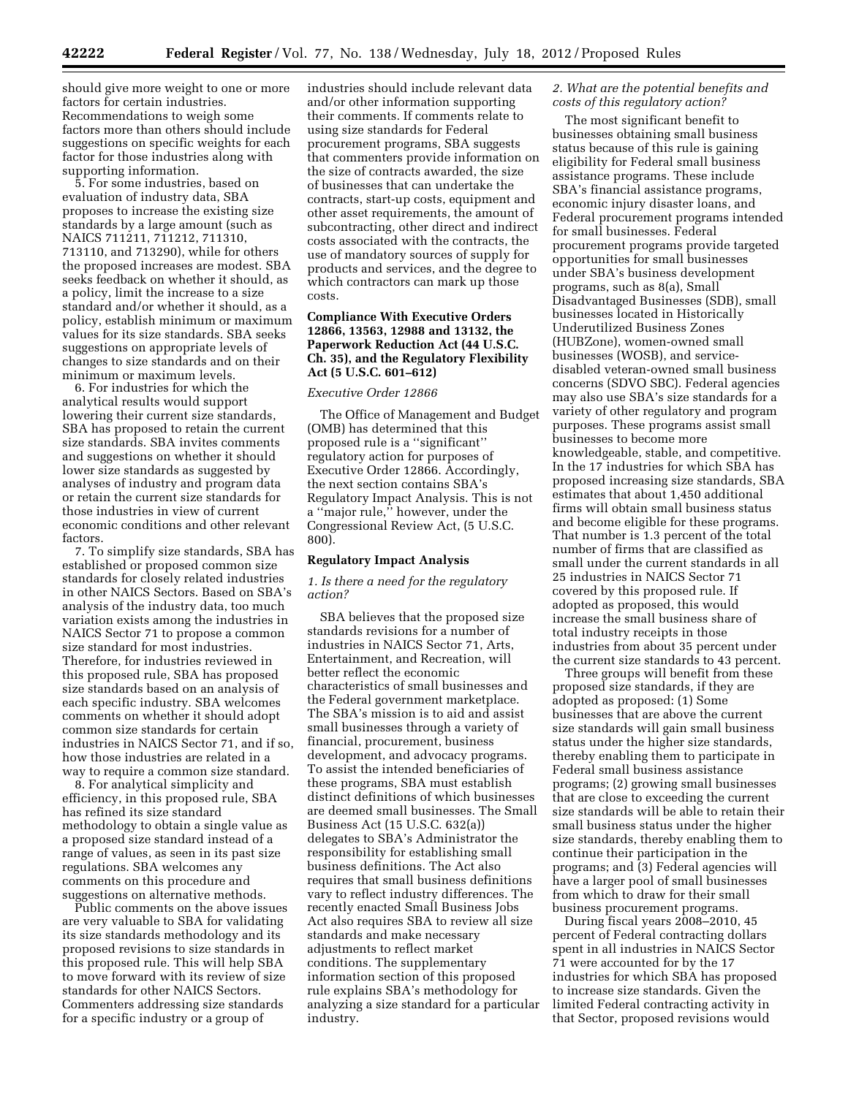should give more weight to one or more factors for certain industries. Recommendations to weigh some factors more than others should include suggestions on specific weights for each factor for those industries along with supporting information.

5. For some industries, based on evaluation of industry data, SBA proposes to increase the existing size standards by a large amount (such as NAICS 711211, 711212, 711310, 713110, and 713290), while for others the proposed increases are modest. SBA seeks feedback on whether it should, as a policy, limit the increase to a size standard and/or whether it should, as a policy, establish minimum or maximum values for its size standards. SBA seeks suggestions on appropriate levels of changes to size standards and on their minimum or maximum levels.

6. For industries for which the analytical results would support lowering their current size standards, SBA has proposed to retain the current size standards. SBA invites comments and suggestions on whether it should lower size standards as suggested by analyses of industry and program data or retain the current size standards for those industries in view of current economic conditions and other relevant factors.

7. To simplify size standards, SBA has established or proposed common size standards for closely related industries in other NAICS Sectors. Based on SBA's analysis of the industry data, too much variation exists among the industries in NAICS Sector 71 to propose a common size standard for most industries. Therefore, for industries reviewed in this proposed rule, SBA has proposed size standards based on an analysis of each specific industry. SBA welcomes comments on whether it should adopt common size standards for certain industries in NAICS Sector 71, and if so, how those industries are related in a way to require a common size standard.

8. For analytical simplicity and efficiency, in this proposed rule, SBA has refined its size standard methodology to obtain a single value as a proposed size standard instead of a range of values, as seen in its past size regulations. SBA welcomes any comments on this procedure and suggestions on alternative methods.

Public comments on the above issues are very valuable to SBA for validating its size standards methodology and its proposed revisions to size standards in this proposed rule. This will help SBA to move forward with its review of size standards for other NAICS Sectors. Commenters addressing size standards for a specific industry or a group of

industries should include relevant data and/or other information supporting their comments. If comments relate to using size standards for Federal procurement programs, SBA suggests that commenters provide information on the size of contracts awarded, the size of businesses that can undertake the contracts, start-up costs, equipment and other asset requirements, the amount of subcontracting, other direct and indirect costs associated with the contracts, the use of mandatory sources of supply for products and services, and the degree to which contractors can mark up those costs.

## **Compliance With Executive Orders 12866, 13563, 12988 and 13132, the Paperwork Reduction Act (44 U.S.C. Ch. 35), and the Regulatory Flexibility Act (5 U.S.C. 601–612)**

#### *Executive Order 12866*

The Office of Management and Budget (OMB) has determined that this proposed rule is a ''significant'' regulatory action for purposes of Executive Order 12866. Accordingly, the next section contains SBA's Regulatory Impact Analysis. This is not a ''major rule,'' however, under the Congressional Review Act, (5 U.S.C. 800).

### **Regulatory Impact Analysis**

#### *1. Is there a need for the regulatory action?*

SBA believes that the proposed size standards revisions for a number of industries in NAICS Sector 71, Arts, Entertainment, and Recreation, will better reflect the economic characteristics of small businesses and the Federal government marketplace. The SBA's mission is to aid and assist small businesses through a variety of financial, procurement, business development, and advocacy programs. To assist the intended beneficiaries of these programs, SBA must establish distinct definitions of which businesses are deemed small businesses. The Small Business Act (15 U.S.C. 632(a)) delegates to SBA's Administrator the responsibility for establishing small business definitions. The Act also requires that small business definitions vary to reflect industry differences. The recently enacted Small Business Jobs Act also requires SBA to review all size standards and make necessary adjustments to reflect market conditions. The supplementary information section of this proposed rule explains SBA's methodology for analyzing a size standard for a particular industry.

### *2. What are the potential benefits and costs of this regulatory action?*

The most significant benefit to businesses obtaining small business status because of this rule is gaining eligibility for Federal small business assistance programs. These include SBA's financial assistance programs, economic injury disaster loans, and Federal procurement programs intended for small businesses. Federal procurement programs provide targeted opportunities for small businesses under SBA's business development programs, such as 8(a), Small Disadvantaged Businesses (SDB), small businesses located in Historically Underutilized Business Zones (HUBZone), women-owned small businesses (WOSB), and servicedisabled veteran-owned small business concerns (SDVO SBC). Federal agencies may also use SBA's size standards for a variety of other regulatory and program purposes. These programs assist small businesses to become more knowledgeable, stable, and competitive. In the 17 industries for which SBA has proposed increasing size standards, SBA estimates that about 1,450 additional firms will obtain small business status and become eligible for these programs. That number is 1.3 percent of the total number of firms that are classified as small under the current standards in all 25 industries in NAICS Sector 71 covered by this proposed rule. If adopted as proposed, this would increase the small business share of total industry receipts in those industries from about 35 percent under the current size standards to 43 percent.

Three groups will benefit from these proposed size standards, if they are adopted as proposed: (1) Some businesses that are above the current size standards will gain small business status under the higher size standards, thereby enabling them to participate in Federal small business assistance programs; (2) growing small businesses that are close to exceeding the current size standards will be able to retain their small business status under the higher size standards, thereby enabling them to continue their participation in the programs; and (3) Federal agencies will have a larger pool of small businesses from which to draw for their small business procurement programs.

During fiscal years 2008–2010, 45 percent of Federal contracting dollars spent in all industries in NAICS Sector 71 were accounted for by the 17 industries for which SBA has proposed to increase size standards. Given the limited Federal contracting activity in that Sector, proposed revisions would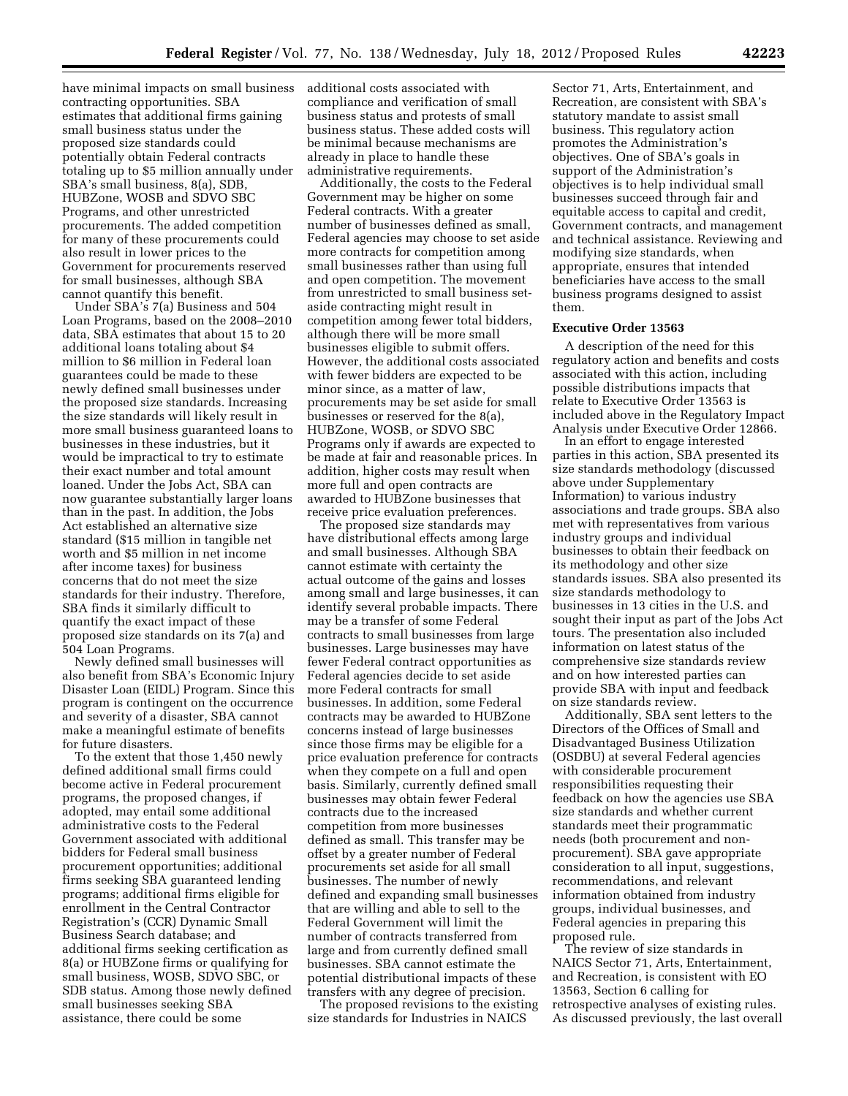have minimal impacts on small business contracting opportunities. SBA estimates that additional firms gaining small business status under the proposed size standards could potentially obtain Federal contracts totaling up to \$5 million annually under SBA's small business, 8(a), SDB, HUBZone, WOSB and SDVO SBC Programs, and other unrestricted procurements. The added competition for many of these procurements could also result in lower prices to the Government for procurements reserved for small businesses, although SBA cannot quantify this benefit.

Under SBA's 7(a) Business and 504 Loan Programs, based on the 2008–2010 data, SBA estimates that about 15 to 20 additional loans totaling about \$4 million to \$6 million in Federal loan guarantees could be made to these newly defined small businesses under the proposed size standards. Increasing the size standards will likely result in more small business guaranteed loans to businesses in these industries, but it would be impractical to try to estimate their exact number and total amount loaned. Under the Jobs Act, SBA can now guarantee substantially larger loans than in the past. In addition, the Jobs Act established an alternative size standard (\$15 million in tangible net worth and \$5 million in net income after income taxes) for business concerns that do not meet the size standards for their industry. Therefore, SBA finds it similarly difficult to quantify the exact impact of these proposed size standards on its 7(a) and 504 Loan Programs.

Newly defined small businesses will also benefit from SBA's Economic Injury Disaster Loan (EIDL) Program. Since this program is contingent on the occurrence and severity of a disaster, SBA cannot make a meaningful estimate of benefits for future disasters.

To the extent that those 1,450 newly defined additional small firms could become active in Federal procurement programs, the proposed changes, if adopted, may entail some additional administrative costs to the Federal Government associated with additional bidders for Federal small business procurement opportunities; additional firms seeking SBA guaranteed lending programs; additional firms eligible for enrollment in the Central Contractor Registration's (CCR) Dynamic Small Business Search database; and additional firms seeking certification as 8(a) or HUBZone firms or qualifying for small business, WOSB, SDVO SBC, or SDB status. Among those newly defined small businesses seeking SBA assistance, there could be some

additional costs associated with compliance and verification of small business status and protests of small business status. These added costs will be minimal because mechanisms are already in place to handle these administrative requirements.

Additionally, the costs to the Federal Government may be higher on some Federal contracts. With a greater number of businesses defined as small, Federal agencies may choose to set aside more contracts for competition among small businesses rather than using full and open competition. The movement from unrestricted to small business setaside contracting might result in competition among fewer total bidders, although there will be more small businesses eligible to submit offers. However, the additional costs associated with fewer bidders are expected to be minor since, as a matter of law, procurements may be set aside for small businesses or reserved for the 8(a), HUBZone, WOSB, or SDVO SBC Programs only if awards are expected to be made at fair and reasonable prices. In addition, higher costs may result when more full and open contracts are awarded to HUBZone businesses that receive price evaluation preferences.

The proposed size standards may have distributional effects among large and small businesses. Although SBA cannot estimate with certainty the actual outcome of the gains and losses among small and large businesses, it can identify several probable impacts. There may be a transfer of some Federal contracts to small businesses from large businesses. Large businesses may have fewer Federal contract opportunities as Federal agencies decide to set aside more Federal contracts for small businesses. In addition, some Federal contracts may be awarded to HUBZone concerns instead of large businesses since those firms may be eligible for a price evaluation preference for contracts when they compete on a full and open basis. Similarly, currently defined small businesses may obtain fewer Federal contracts due to the increased competition from more businesses defined as small. This transfer may be offset by a greater number of Federal procurements set aside for all small businesses. The number of newly defined and expanding small businesses that are willing and able to sell to the Federal Government will limit the number of contracts transferred from large and from currently defined small businesses. SBA cannot estimate the potential distributional impacts of these transfers with any degree of precision.

The proposed revisions to the existing size standards for Industries in NAICS

Sector 71, Arts, Entertainment, and Recreation, are consistent with SBA's statutory mandate to assist small business. This regulatory action promotes the Administration's objectives. One of SBA's goals in support of the Administration's objectives is to help individual small businesses succeed through fair and equitable access to capital and credit, Government contracts, and management and technical assistance. Reviewing and modifying size standards, when appropriate, ensures that intended beneficiaries have access to the small business programs designed to assist them.

#### **Executive Order 13563**

A description of the need for this regulatory action and benefits and costs associated with this action, including possible distributions impacts that relate to Executive Order 13563 is included above in the Regulatory Impact Analysis under Executive Order 12866.

In an effort to engage interested parties in this action, SBA presented its size standards methodology (discussed above under Supplementary Information) to various industry associations and trade groups. SBA also met with representatives from various industry groups and individual businesses to obtain their feedback on its methodology and other size standards issues. SBA also presented its size standards methodology to businesses in 13 cities in the U.S. and sought their input as part of the Jobs Act tours. The presentation also included information on latest status of the comprehensive size standards review and on how interested parties can provide SBA with input and feedback on size standards review.

Additionally, SBA sent letters to the Directors of the Offices of Small and Disadvantaged Business Utilization (OSDBU) at several Federal agencies with considerable procurement responsibilities requesting their feedback on how the agencies use SBA size standards and whether current standards meet their programmatic needs (both procurement and nonprocurement). SBA gave appropriate consideration to all input, suggestions, recommendations, and relevant information obtained from industry groups, individual businesses, and Federal agencies in preparing this proposed rule.

The review of size standards in NAICS Sector 71, Arts, Entertainment, and Recreation, is consistent with EO 13563, Section 6 calling for retrospective analyses of existing rules. As discussed previously, the last overall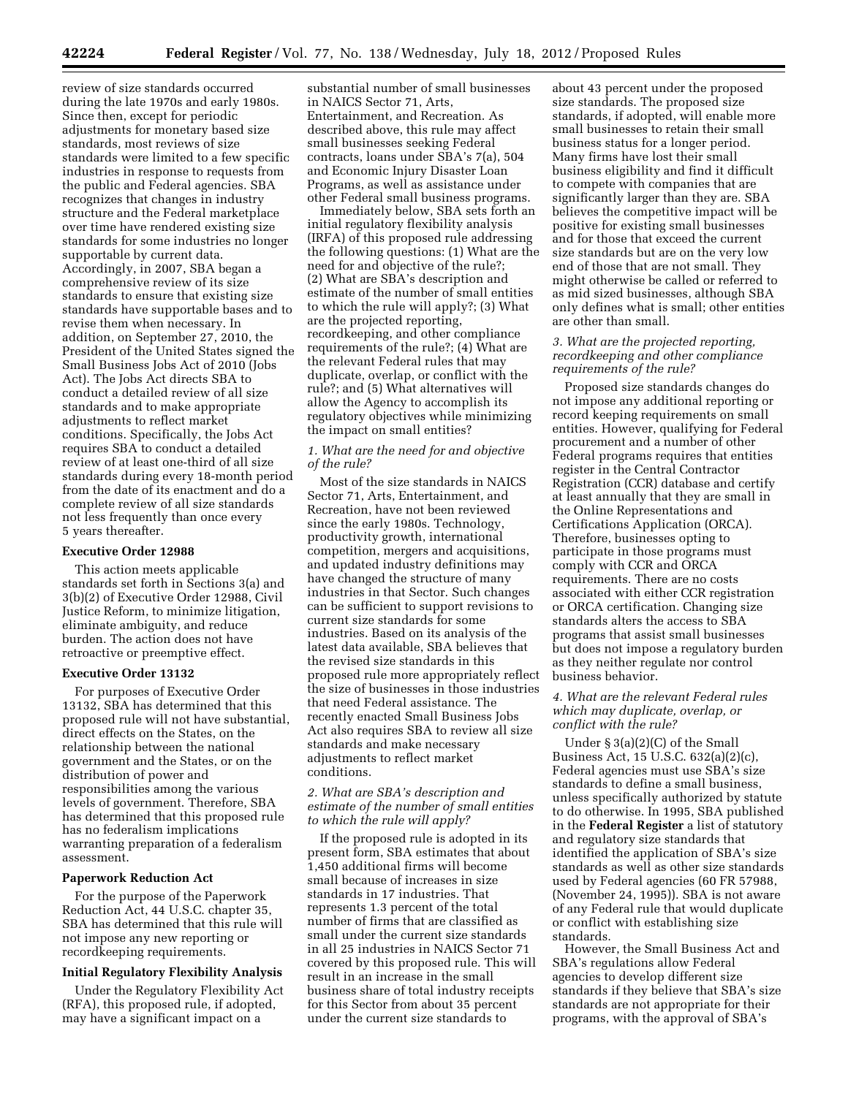review of size standards occurred during the late 1970s and early 1980s. Since then, except for periodic adjustments for monetary based size standards, most reviews of size standards were limited to a few specific industries in response to requests from the public and Federal agencies. SBA recognizes that changes in industry structure and the Federal marketplace over time have rendered existing size standards for some industries no longer supportable by current data. Accordingly, in 2007, SBA began a comprehensive review of its size standards to ensure that existing size standards have supportable bases and to revise them when necessary. In addition, on September 27, 2010, the President of the United States signed the Small Business Jobs Act of 2010 (Jobs Act). The Jobs Act directs SBA to conduct a detailed review of all size standards and to make appropriate adjustments to reflect market conditions. Specifically, the Jobs Act requires SBA to conduct a detailed review of at least one-third of all size standards during every 18-month period from the date of its enactment and do a complete review of all size standards not less frequently than once every 5 years thereafter.

### **Executive Order 12988**

This action meets applicable standards set forth in Sections 3(a) and 3(b)(2) of Executive Order 12988, Civil Justice Reform, to minimize litigation, eliminate ambiguity, and reduce burden. The action does not have retroactive or preemptive effect.

#### **Executive Order 13132**

For purposes of Executive Order 13132, SBA has determined that this proposed rule will not have substantial, direct effects on the States, on the relationship between the national government and the States, or on the distribution of power and responsibilities among the various levels of government. Therefore, SBA has determined that this proposed rule has no federalism implications warranting preparation of a federalism assessment.

#### **Paperwork Reduction Act**

For the purpose of the Paperwork Reduction Act, 44 U.S.C. chapter 35, SBA has determined that this rule will not impose any new reporting or recordkeeping requirements.

### **Initial Regulatory Flexibility Analysis**

Under the Regulatory Flexibility Act (RFA), this proposed rule, if adopted, may have a significant impact on a

substantial number of small businesses in NAICS Sector 71, Arts, Entertainment, and Recreation. As described above, this rule may affect small businesses seeking Federal contracts, loans under SBA's 7(a), 504 and Economic Injury Disaster Loan Programs, as well as assistance under other Federal small business programs.

Immediately below, SBA sets forth an initial regulatory flexibility analysis (IRFA) of this proposed rule addressing the following questions: (1) What are the need for and objective of the rule?; (2) What are SBA's description and estimate of the number of small entities to which the rule will apply?; (3) What are the projected reporting, recordkeeping, and other compliance requirements of the rule?; (4) What are the relevant Federal rules that may duplicate, overlap, or conflict with the rule?; and (5) What alternatives will allow the Agency to accomplish its regulatory objectives while minimizing the impact on small entities?

### *1. What are the need for and objective of the rule?*

Most of the size standards in NAICS Sector 71, Arts, Entertainment, and Recreation, have not been reviewed since the early 1980s. Technology, productivity growth, international competition, mergers and acquisitions, and updated industry definitions may have changed the structure of many industries in that Sector. Such changes can be sufficient to support revisions to current size standards for some industries. Based on its analysis of the latest data available, SBA believes that the revised size standards in this proposed rule more appropriately reflect the size of businesses in those industries that need Federal assistance. The recently enacted Small Business Jobs Act also requires SBA to review all size standards and make necessary adjustments to reflect market conditions.

### *2. What are SBA's description and estimate of the number of small entities to which the rule will apply?*

If the proposed rule is adopted in its present form, SBA estimates that about 1,450 additional firms will become small because of increases in size standards in 17 industries. That represents 1.3 percent of the total number of firms that are classified as small under the current size standards in all 25 industries in NAICS Sector 71 covered by this proposed rule. This will result in an increase in the small business share of total industry receipts for this Sector from about 35 percent under the current size standards to

about 43 percent under the proposed size standards. The proposed size standards, if adopted, will enable more small businesses to retain their small business status for a longer period. Many firms have lost their small business eligibility and find it difficult to compete with companies that are significantly larger than they are. SBA believes the competitive impact will be positive for existing small businesses and for those that exceed the current size standards but are on the very low end of those that are not small. They might otherwise be called or referred to as mid sized businesses, although SBA only defines what is small; other entities are other than small.

### *3. What are the projected reporting, recordkeeping and other compliance requirements of the rule?*

Proposed size standards changes do not impose any additional reporting or record keeping requirements on small entities. However, qualifying for Federal procurement and a number of other Federal programs requires that entities register in the Central Contractor Registration (CCR) database and certify at least annually that they are small in the Online Representations and Certifications Application (ORCA). Therefore, businesses opting to participate in those programs must comply with CCR and ORCA requirements. There are no costs associated with either CCR registration or ORCA certification. Changing size standards alters the access to SBA programs that assist small businesses but does not impose a regulatory burden as they neither regulate nor control business behavior.

### *4. What are the relevant Federal rules which may duplicate, overlap, or conflict with the rule?*

Under § 3(a)(2)(C) of the Small Business Act, 15 U.S.C. 632(a)(2)(c), Federal agencies must use SBA's size standards to define a small business, unless specifically authorized by statute to do otherwise. In 1995, SBA published in the **Federal Register** a list of statutory and regulatory size standards that identified the application of SBA's size standards as well as other size standards used by Federal agencies (60 FR 57988, (November 24, 1995)). SBA is not aware of any Federal rule that would duplicate or conflict with establishing size standards.

However, the Small Business Act and SBA's regulations allow Federal agencies to develop different size standards if they believe that SBA's size standards are not appropriate for their programs, with the approval of SBA's